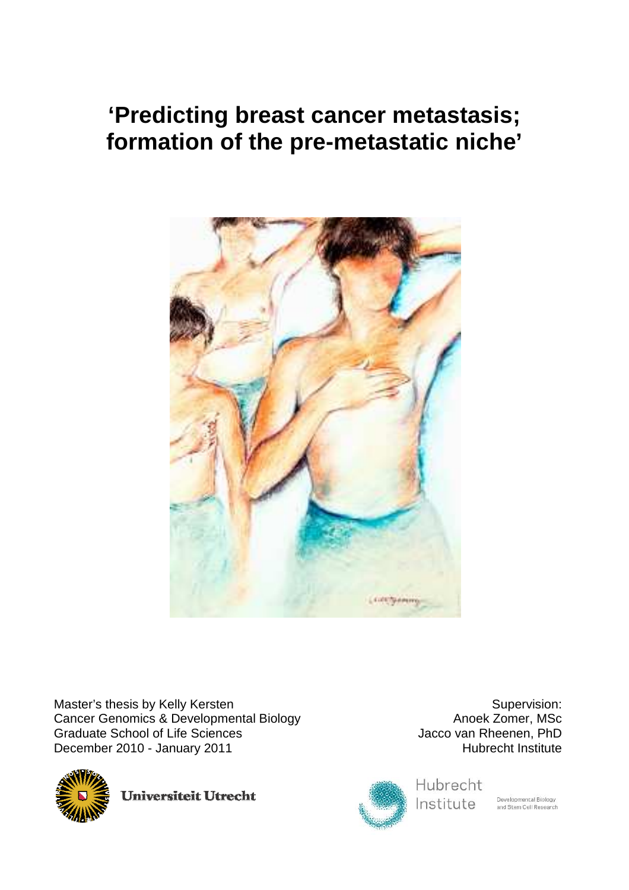# **'Predicting breast cancer metastasis; formation of the pre-metastatic niche'**



Master's thesis by Kelly Kersten Cancer Genomics & Developmental Biology Graduate School of Life Sciences December 2010 - January 2011



**Universiteit Utrecht** 



Hubrecht Institute

Developmental Biology<br>and Stem Cell Research

Supervision:

Anoek Zomer, MSc

Hubrecht Institute

Jacco van Rheenen, PhD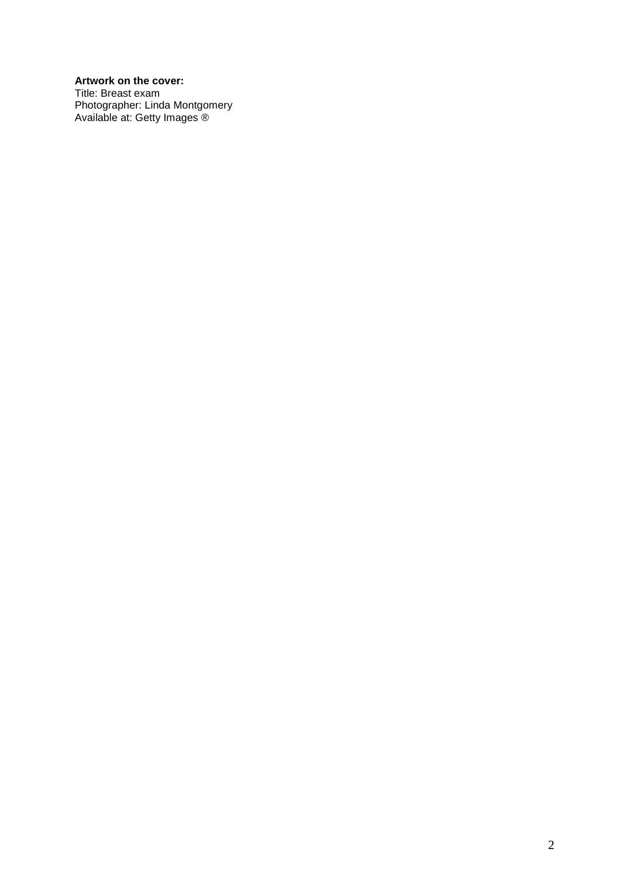# **Artwork on the cover:**

Title: Breast exam Photographer: Linda Montgomery Available at: Getty Images ®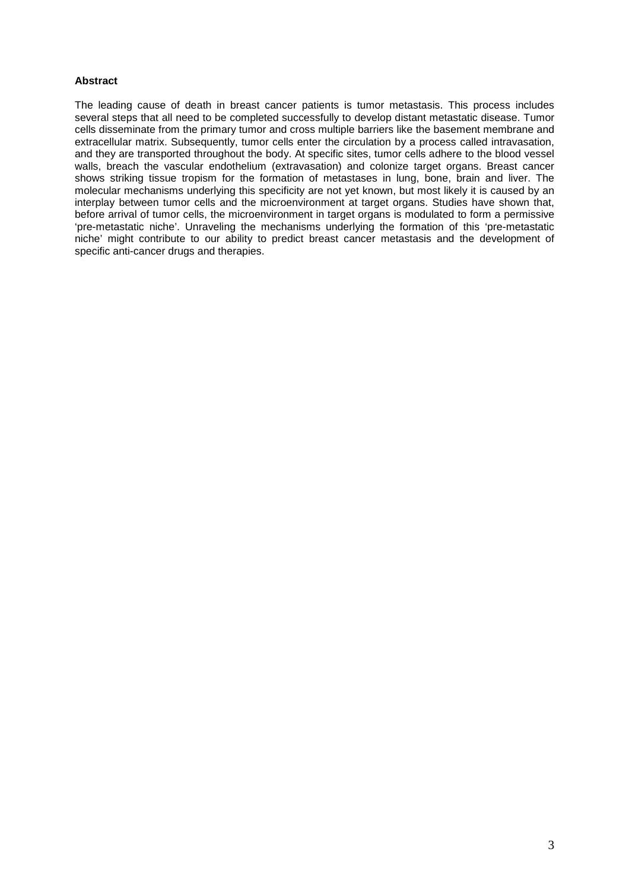# **Abstract**

The leading cause of death in breast cancer patients is tumor metastasis. This process includes several steps that all need to be completed successfully to develop distant metastatic disease. Tumor cells disseminate from the primary tumor and cross multiple barriers like the basement membrane and extracellular matrix. Subsequently, tumor cells enter the circulation by a process called intravasation, and they are transported throughout the body. At specific sites, tumor cells adhere to the blood vessel walls, breach the vascular endothelium (extravasation) and colonize target organs. Breast cancer shows striking tissue tropism for the formation of metastases in lung, bone, brain and liver. The molecular mechanisms underlying this specificity are not yet known, but most likely it is caused by an interplay between tumor cells and the microenvironment at target organs. Studies have shown that, before arrival of tumor cells, the microenvironment in target organs is modulated to form a permissive 'pre-metastatic niche'. Unraveling the mechanisms underlying the formation of this 'pre-metastatic niche' might contribute to our ability to predict breast cancer metastasis and the development of specific anti-cancer drugs and therapies.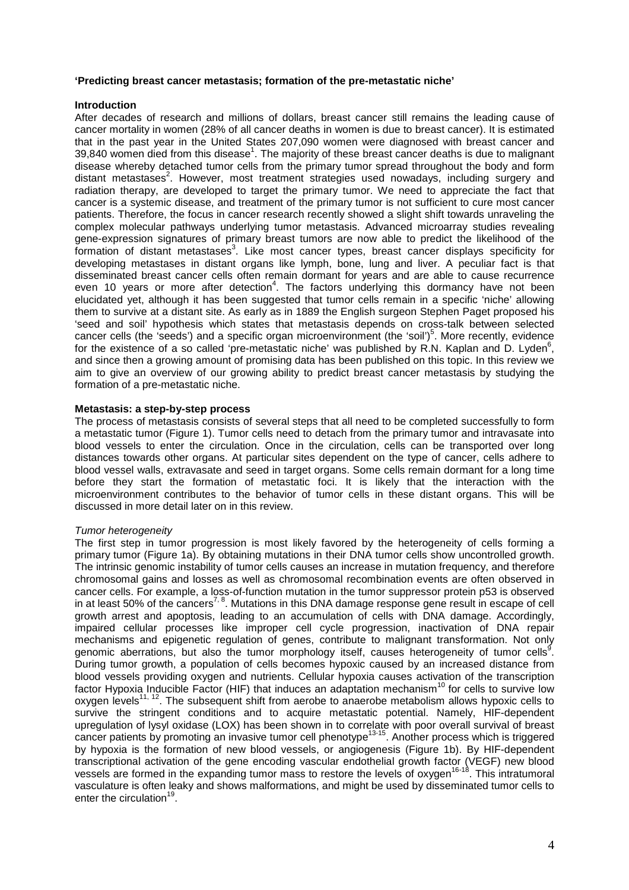## **'Predicting breast cancer metastasis; formation of the pre-metastatic niche'**

## **Introduction**

After decades of research and millions of dollars, breast cancer still remains the leading cause of cancer mortality in women (28% of all cancer deaths in women is due to breast cancer). It is estimated that in the past year in the United States 207,090 women were diagnosed with breast cancer and  $39,840$  women died from this disease<sup>1</sup>. The majority of these breast cancer deaths is due to malignant disease whereby detached tumor cells from the primary tumor spread throughout the body and form distant metastases<sup>2</sup>. However, most treatment strategies used nowadays, including surgery and radiation therapy, are developed to target the primary tumor. We need to appreciate the fact that cancer is a systemic disease, and treatment of the primary tumor is not sufficient to cure most cancer patients. Therefore, the focus in cancer research recently showed a slight shift towards unraveling the complex molecular pathways underlying tumor metastasis. Advanced microarray studies revealing gene-expression signatures of primary breast tumors are now able to predict the likelihood of the formation of distant metastases<sup>3</sup>. Like most cancer types, breast cancer displays specificity for developing metastases in distant organs like lymph, bone, lung and liver. A peculiar fact is that disseminated breast cancer cells often remain dormant for years and are able to cause recurrence even 10 years or more after detection<sup>4</sup>. The factors underlying this dormancy have not been elucidated yet, although it has been suggested that tumor cells remain in a specific 'niche' allowing them to survive at a distant site. As early as in 1889 the English surgeon Stephen Paget proposed his 'seed and soil' hypothesis which states that metastasis depends on cross-talk between selected cancer cells (the 'seeds') and a specific organ microenvironment (the 'soil')<sup>5</sup>. More recently, evidence for the existence of a so called 'pre-metastatic niche' was published by R.N. Kaplan and D. Lyden<sup>6</sup>, and since then a growing amount of promising data has been published on this topic. In this review we aim to give an overview of our growing ability to predict breast cancer metastasis by studying the formation of a pre-metastatic niche.

## **Metastasis: a step-by-step process**

The process of metastasis consists of several steps that all need to be completed successfully to form a metastatic tumor (Figure 1). Tumor cells need to detach from the primary tumor and intravasate into blood vessels to enter the circulation. Once in the circulation, cells can be transported over long distances towards other organs. At particular sites dependent on the type of cancer, cells adhere to blood vessel walls, extravasate and seed in target organs. Some cells remain dormant for a long time before they start the formation of metastatic foci. It is likely that the interaction with the microenvironment contributes to the behavior of tumor cells in these distant organs. This will be discussed in more detail later on in this review.

## Tumor heterogeneity

The first step in tumor progression is most likely favored by the heterogeneity of cells forming a primary tumor (Figure 1a). By obtaining mutations in their DNA tumor cells show uncontrolled growth. The intrinsic genomic instability of tumor cells causes an increase in mutation frequency, and therefore chromosomal gains and losses as well as chromosomal recombination events are often observed in cancer cells. For example, a loss-of-function mutation in the tumor suppressor protein p53 is observed in at least 50% of the cancers<sup>7, 8</sup>. Mutations in this DNA damage response gene result in escape of cell growth arrest and apoptosis, leading to an accumulation of cells with DNA damage. Accordingly, impaired cellular processes like improper cell cycle progression, inactivation of DNA repair mechanisms and epigenetic regulation of genes, contribute to malignant transformation. Not only genomic aberrations, but also the tumor morphology itself, causes heterogeneity of tumor cells<sup>9</sup>. During tumor growth, a population of cells becomes hypoxic caused by an increased distance from blood vessels providing oxygen and nutrients. Cellular hypoxia causes activation of the transcription factor Hypoxia Inducible Factor (HIF) that induces an adaptation mechanism<sup>10</sup> for cells to survive low oxygen levels<sup>11, 12</sup>. The subsequent shift from aerobe to anaerobe metabolism allows hypoxic cells to survive the stringent conditions and to acquire metastatic potential. Namely, HIF-dependent upregulation of lysyl oxidase (LOX) has been shown in to correlate with poor overall survival of breast cancer patients by promoting an invasive tumor cell phenotype<sup>13-15</sup>. Another process which is triggered by hypoxia is the formation of new blood vessels, or angiogenesis (Figure 1b). By HIF-dependent transcriptional activation of the gene encoding vascular endothelial growth factor (VEGF) new blood vessels are formed in the expanding tumor mass to restore the levels of oxygen<sup>16-18</sup>. This intratumoral vasculature is often leaky and shows malformations, and might be used by disseminated tumor cells to enter the circulation<sup>19</sup>.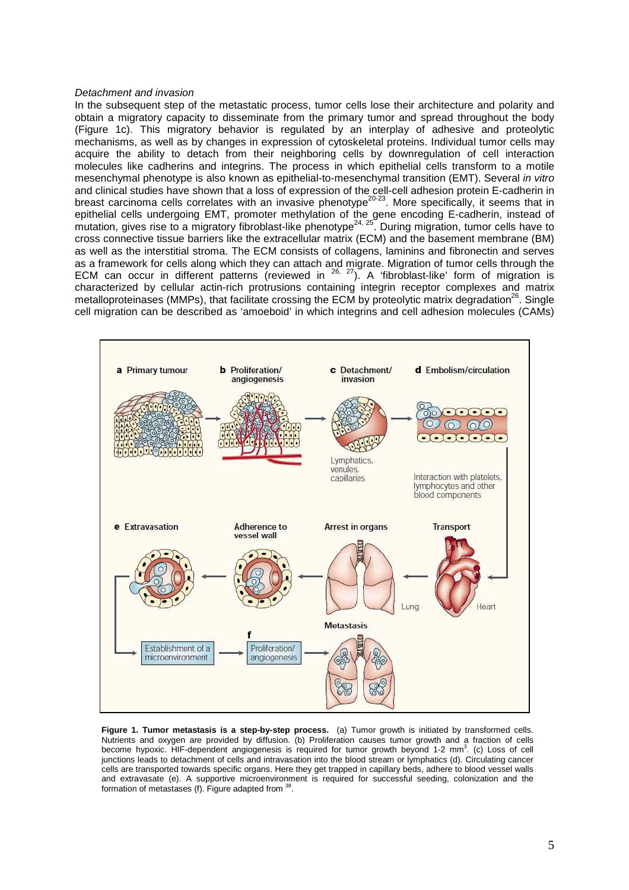#### Detachment and invasion

In the subsequent step of the metastatic process, tumor cells lose their architecture and polarity and obtain a migratory capacity to disseminate from the primary tumor and spread throughout the body (Figure 1c). This migratory behavior is regulated by an interplay of adhesive and proteolytic mechanisms, as well as by changes in expression of cytoskeletal proteins. Individual tumor cells may acquire the ability to detach from their neighboring cells by downregulation of cell interaction molecules like cadherins and integrins. The process in which epithelial cells transform to a motile mesenchymal phenotype is also known as epithelial-to-mesenchymal transition (EMT). Several in vitro and clinical studies have shown that a loss of expression of the cell-cell adhesion protein E-cadherin in breast carcinoma cells correlates with an invasive phenotype<sup>20-23</sup>. More specifically, it seems that in epithelial cells undergoing EMT, promoter methylation of the gene encoding E-cadherin, instead of mutation, gives rise to a migratory fibroblast-like phenotype<sup>24, 25</sup>. During migration, tumor cells have to cross connective tissue barriers like the extracellular matrix (ECM) and the basement membrane (BM) as well as the interstitial stroma. The ECM consists of collagens, laminins and fibronectin and serves as a framework for cells along which they can attach and migrate. Migration of tumor cells through the ECM can occur in different patterns (reviewed in  $^{26, 27}$ ). A 'fibroblast-like' form of migration is characterized by cellular actin-rich protrusions containing integrin receptor complexes and matrix metalloproteinases (MMPs), that facilitate crossing the ECM by proteolytic matrix degradation<sup>26</sup>. Single cell migration can be described as 'amoeboid' in which integrins and cell adhesion molecules (CAMs)



**Figure 1. Tumor metastasis is a step-by-step process.** (a) Tumor growth is initiated by transformed cells. Nutrients and oxygen are provided by diffusion. (b) Proliferation causes tumor growth and a fraction of cells become hypoxic. HIF-dependent angiogenesis is required for tumor growth beyond 1-2 mm<sup>3</sup>. (c) Loss of cell junctions leads to detachment of cells and intravasation into the blood stream or lymphatics (d). Circulating cancer cells are transported towards specific organs. Here they get trapped in capillary beds, adhere to blood vessel walls and extravasate (e). A supportive microenvironment is required for successful seeding, colonization and the formation of metastases (f). Figure adapted from  $\frac{3}{5}$ .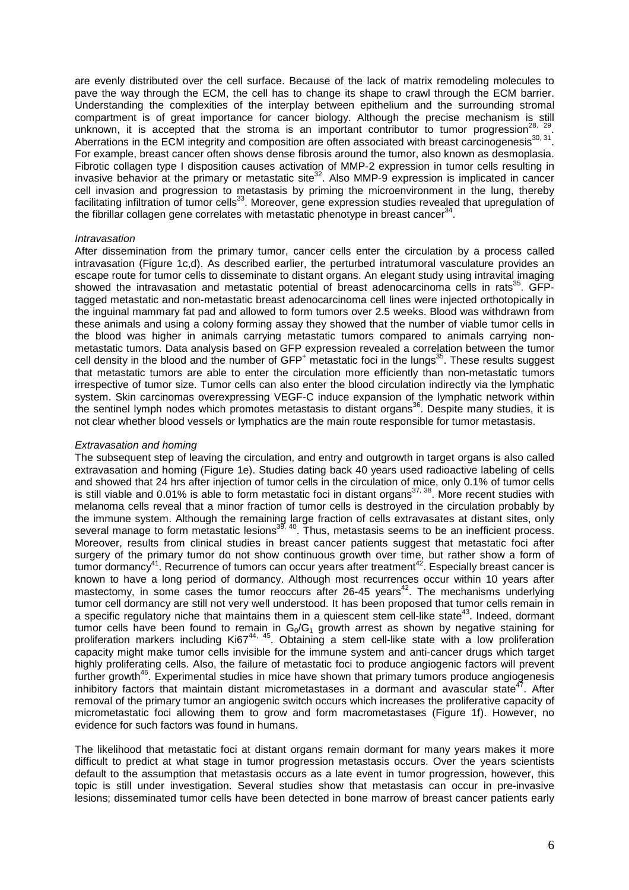are evenly distributed over the cell surface. Because of the lack of matrix remodeling molecules to pave the way through the ECM, the cell has to change its shape to crawl through the ECM barrier. Understanding the complexities of the interplay between epithelium and the surrounding stromal compartment is of great importance for cancer biology. Although the precise mechanism is still unknown, it is accepted that the stroma is an important contributor to tumor progression<sup>28, 29</sup>. Aberrations in the ECM integrity and composition are often associated with breast carcinogenesis $^{30, 31}$ . For example, breast cancer often shows dense fibrosis around the tumor, also known as desmoplasia. Fibrotic collagen type I disposition causes activation of MMP-2 expression in tumor cells resulting in invasive behavior at the primary or metastatic site<sup>32</sup>. Also MMP-9 expression is implicated in cancer cell invasion and progression to metastasis by priming the microenvironment in the lung, thereby facilitating infiltration of tumor cells<sup>33</sup>. Moreover, gene expression studies revealed that upregulation of the fibrillar collagen gene correlates with metastatic phenotype in breast cancer $34$ .

#### **Intravasation**

After dissemination from the primary tumor, cancer cells enter the circulation by a process called intravasation (Figure 1c,d). As described earlier, the perturbed intratumoral vasculature provides an escape route for tumor cells to disseminate to distant organs. An elegant study using intravital imaging showed the intravasation and metastatic potential of breast adenocarcinoma cells in rats<sup>35</sup>. GFPtagged metastatic and non-metastatic breast adenocarcinoma cell lines were injected orthotopically in the inguinal mammary fat pad and allowed to form tumors over 2.5 weeks. Blood was withdrawn from these animals and using a colony forming assay they showed that the number of viable tumor cells in the blood was higher in animals carrying metastatic tumors compared to animals carrying nonmetastatic tumors. Data analysis based on GFP expression revealed a correlation between the tumor cell density in the blood and the number of  $GFP<sup>+</sup>$  metastatic foci in the lungs<sup>35</sup>. These results suggest that metastatic tumors are able to enter the circulation more efficiently than non-metastatic tumors irrespective of tumor size. Tumor cells can also enter the blood circulation indirectly via the lymphatic system. Skin carcinomas overexpressing VEGF-C induce expansion of the lymphatic network within the sentinel lymph nodes which promotes metastasis to distant organs<sup>36</sup>. Despite many studies, it is not clear whether blood vessels or lymphatics are the main route responsible for tumor metastasis.

#### Extravasation and homing

The subsequent step of leaving the circulation, and entry and outgrowth in target organs is also called extravasation and homing (Figure 1e). Studies dating back 40 years used radioactive labeling of cells and showed that 24 hrs after injection of tumor cells in the circulation of mice, only 0.1% of tumor cells is still viable and 0.01% is able to form metastatic foci in distant organs<sup>37, 38</sup>. More recent studies with melanoma cells reveal that a minor fraction of tumor cells is destroyed in the circulation probably by the immune system. Although the remaining large fraction of cells extravasates at distant sites, only several manage to form metastatic lesions<sup>39, 40</sup>. Thus, metastasis seems to be an inefficient process. Moreover, results from clinical studies in breast cancer patients suggest that metastatic foci after surgery of the primary tumor do not show continuous growth over time, but rather show a form of tumor dormancy<sup>41</sup>. Recurrence of tumors can occur years after treatment<sup>42</sup>. Especially breast cancer is known to have a long period of dormancy. Although most recurrences occur within 10 years after mastectomy, in some cases the tumor reoccurs after 26-45 years<sup>42</sup>. The mechanisms underlying tumor cell dormancy are still not very well understood. It has been proposed that tumor cells remain in a specific regulatory niche that maintains them in a quiescent stem cell-like state<sup>43</sup>. Indeed, dormant tumor cells have been found to remain in  $G_0/G_1$  growth arrest as shown by negative staining for proliferation markers including Ki67<sup>44, 45</sup>. Obtaining a stem cell-like state with a low proliferation capacity might make tumor cells invisible for the immune system and anti-cancer drugs which target highly proliferating cells. Also, the failure of metastatic foci to produce angiogenic factors will prevent further growth<sup>46</sup>. Experimental studies in mice have shown that primary tumors produce angiogenesis inhibitory factors that maintain distant micrometastases in a dormant and avascular state<sup>47</sup>. After removal of the primary tumor an angiogenic switch occurs which increases the proliferative capacity of micrometastatic foci allowing them to grow and form macrometastases (Figure 1f). However, no evidence for such factors was found in humans.

The likelihood that metastatic foci at distant organs remain dormant for many years makes it more difficult to predict at what stage in tumor progression metastasis occurs. Over the years scientists default to the assumption that metastasis occurs as a late event in tumor progression, however, this topic is still under investigation. Several studies show that metastasis can occur in pre-invasive lesions; disseminated tumor cells have been detected in bone marrow of breast cancer patients early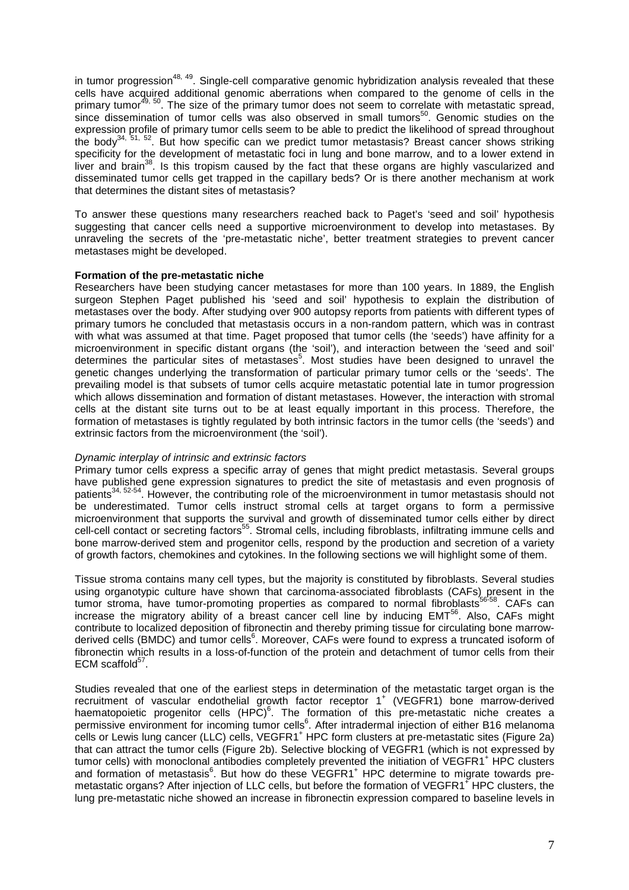in tumor progression<sup>48, 49</sup>. Single-cell comparative genomic hybridization analysis revealed that these cells have acquired additional genomic aberrations when compared to the genome of cells in the primary tumor<sup>49, 50</sup>. The size of the primary tumor does not seem to correlate with metastatic spread, since dissemination of tumor cells was also observed in small tumors<sup>50</sup>. Genomic studies on the expression profile of primary tumor cells seem to be able to predict the likelihood of spread throughout the body<sup>34, 51, 52</sup>. But how specific can we predict tumor metastasis? Breast cancer shows striking specificity for the development of metastatic foci in lung and bone marrow, and to a lower extend in liver and brain<sup>38</sup>. Is this tropism caused by the fact that these organs are highly vascularized and disseminated tumor cells get trapped in the capillary beds? Or is there another mechanism at work that determines the distant sites of metastasis?

To answer these questions many researchers reached back to Paget's 'seed and soil' hypothesis suggesting that cancer cells need a supportive microenvironment to develop into metastases. By unraveling the secrets of the 'pre-metastatic niche', better treatment strategies to prevent cancer metastases might be developed.

## **Formation of the pre-metastatic niche**

Researchers have been studying cancer metastases for more than 100 years. In 1889, the English surgeon Stephen Paget published his 'seed and soil' hypothesis to explain the distribution of metastases over the body. After studying over 900 autopsy reports from patients with different types of primary tumors he concluded that metastasis occurs in a non-random pattern, which was in contrast with what was assumed at that time. Paget proposed that tumor cells (the 'seeds') have affinity for a microenvironment in specific distant organs (the 'soil'), and interaction between the 'seed and soil' determines the particular sites of metastases<sup>5</sup>. Most studies have been designed to unravel the genetic changes underlying the transformation of particular primary tumor cells or the 'seeds'. The prevailing model is that subsets of tumor cells acquire metastatic potential late in tumor progression which allows dissemination and formation of distant metastases. However, the interaction with stromal cells at the distant site turns out to be at least equally important in this process. Therefore, the formation of metastases is tightly regulated by both intrinsic factors in the tumor cells (the 'seeds') and extrinsic factors from the microenvironment (the 'soil').

## Dynamic interplay of intrinsic and extrinsic factors

Primary tumor cells express a specific array of genes that might predict metastasis. Several groups have published gene expression signatures to predict the site of metastasis and even prognosis of patients<sup>34, 52-54</sup>. However, the contributing role of the microenvironment in tumor metastasis should not be underestimated. Tumor cells instruct stromal cells at target organs to form a permissive microenvironment that supports the survival and growth of disseminated tumor cells either by direct cell-cell contact or secreting factors<sup>55</sup>. Stromal cells, including fibroblasts, infiltrating immune cells and bone marrow-derived stem and progenitor cells, respond by the production and secretion of a variety of growth factors, chemokines and cytokines. In the following sections we will highlight some of them.

Tissue stroma contains many cell types, but the majority is constituted by fibroblasts. Several studies using organotypic culture have shown that carcinoma-associated fibroblasts (CAFs) present in the tumor stroma, have tumor-promoting properties as compared to normal fibroblasts<sup>56-58</sup>. CAFs can increase the migratory ability of a breast cancer cell line by inducing EMT<sup>56</sup>. Also, CAFs might contribute to localized deposition of fibronectin and thereby priming tissue for circulating bone marrowderived cells (BMDC) and tumor cells<sup>6</sup>. Moreover, CAFs were found to express a truncated isoform of fibronectin which results in a loss-of-function of the protein and detachment of tumor cells from their ECM scaffold $57$ .

Studies revealed that one of the earliest steps in determination of the metastatic target organ is the recruitment of vascular endothelial growth factor receptor 1<sup>+</sup> (VEGFR1) bone marrow-derived haematopoietic progenitor cells  $(HPC)^6$ . The formation of this pre-metastatic niche creates a permissive environment for incoming tumor cells<sup>6</sup>. After intradermal injection of either B16 melanoma .<br>cells or Lewis lung cancer (LLC) cells, VEGFR1<sup>+</sup> HPC form clusters at pre-metastatic sites (Figure 2a) that can attract the tumor cells (Figure 2b). Selective blocking of VEGFR1 (which is not expressed by tumor cells) with monoclonal antibodies completely prevented the initiation of VEGFR1<sup>+</sup> HPC clusters and formation of metastasis<sup>6</sup>. But how do these VEGFR1<sup>+</sup> HPC determine to migrate towards premetastatic organs? After injection of LLC cells, but before the formation of VEGFR1<sup>+</sup> HPC clusters, the lung pre-metastatic niche showed an increase in fibronectin expression compared to baseline levels in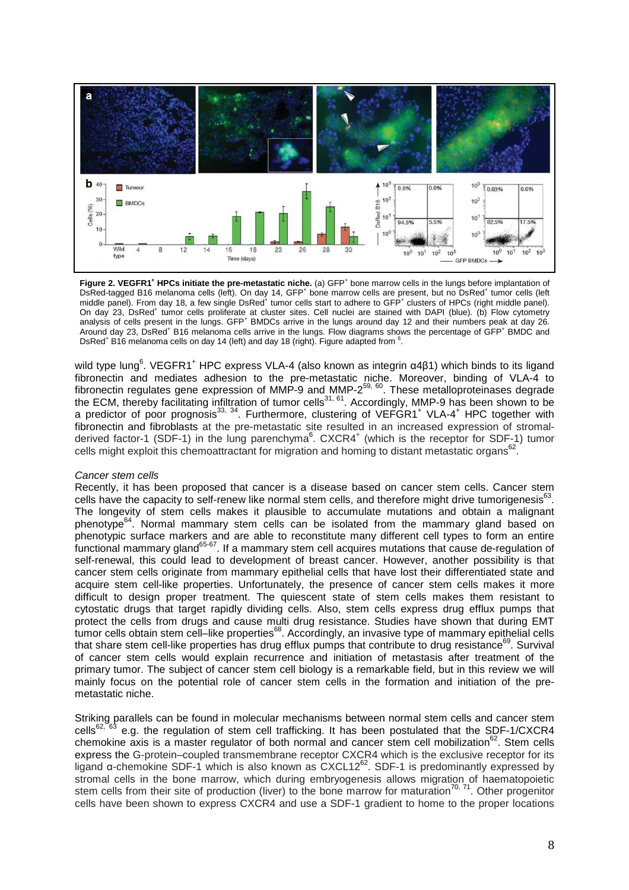

Figure 2. VEGFR1<sup>+</sup> HPCs initiate the pre-metastatic niche. (a) GFP<sup>+</sup> bone marrow cells in the lungs before implantation of DsRed-tagged B16 melanoma cells (left). On day 14, GFP<sup>+</sup> bone marrow cells are present, but no DsRed<sup>+</sup> tumor cells (left<br>middle panel). From day 18, a few single DsRed<sup>+</sup> tumor cells start to adhere to GFP<sup>+</sup> clusters of On day 23, DsRed<sup>+</sup> tumor cells proliferate at cluster sites. Cell nuclei are stained with DAPI (blue). (b) Flow cytometry analysis of cells present in the lungs. GFP<sup>+</sup> BMDCs arrive in the lungs around day 12 and their numbers peak at day 26. Around day 23, DsRed<sup>+</sup> B16 melanoma cells arrive in the lungs. Flow diagrams shows the percentage of GFP<sup>+</sup> BMDC and DsRed<sup>+</sup> B16 melanoma cells on day 14 (left) and day 18 (right). Figure adapted from <sup>6</sup>.

wild type lung<sup>6</sup>. VEGFR1<sup>+</sup> HPC express VLA-4 (also known as integrin α4β1) which binds to its ligand fibronectin and mediates adhesion to the pre-metastatic niche. Moreover, binding of VLA-4 to fibronectin regulates gene expression of MMP-9 and MMP-2<sup>59, 60</sup>. These metalloproteinases degrade the ECM, thereby facilitating infiltration of tumor cells<sup>31, 61</sup>. Accordingly, MMP-9 has been shown to be a predictor of poor prognosis<sup>33, 34</sup>. Furthermore, clustering of VEFGR1<sup>+</sup> VLA-4<sup>+</sup> HPC together with fibronectin and fibroblasts at the pre-metastatic site resulted in an increased expression of stromalderived factor-1 (SDF-1) in the lung parenchyma<sup>6</sup>. CXCR4<sup>+</sup> (which is the receptor for SDF-1) tumor cells might exploit this chemoattractant for migration and homing to distant metastatic organs<sup>62</sup>.

## Cancer stem cells

Recently, it has been proposed that cancer is a disease based on cancer stem cells. Cancer stem cells have the capacity to self-renew like normal stem cells, and therefore might drive tumorigenesis $^{63}$ . The longevity of stem cells makes it plausible to accumulate mutations and obtain a malignant phenotype<sup>64</sup>. Normal mammary stem cells can be isolated from the mammary gland based on phenotypic surface markers and are able to reconstitute many different cell types to form an entire functional mammary gland<sup>65-67</sup>. If a mammary stem cell acquires mutations that cause de-regulation of self-renewal, this could lead to development of breast cancer. However, another possibility is that cancer stem cells originate from mammary epithelial cells that have lost their differentiated state and acquire stem cell-like properties. Unfortunately, the presence of cancer stem cells makes it more difficult to design proper treatment. The quiescent state of stem cells makes them resistant to cytostatic drugs that target rapidly dividing cells. Also, stem cells express drug efflux pumps that protect the cells from drugs and cause multi drug resistance. Studies have shown that during EMT tumor cells obtain stem cell-like properties<sup>68</sup>. Accordingly, an invasive type of mammary epithelial cells that share stem cell-like properties has drug efflux pumps that contribute to drug resistance<sup>69</sup>. Survival of cancer stem cells would explain recurrence and initiation of metastasis after treatment of the primary tumor. The subject of cancer stem cell biology is a remarkable field, but in this review we will mainly focus on the potential role of cancer stem cells in the formation and initiation of the premetastatic niche.

Striking parallels can be found in molecular mechanisms between normal stem cells and cancer stem cells<sup>62, 63</sup> e.g. the regulation of stem cell trafficking. It has been postulated that the SDF-1/CXCR4 chemokine axis is a master regulator of both normal and cancer stem cell mobilization<sup>62</sup>. Stem cells express the G-protein–coupled transmembrane receptor CXCR4 which is the exclusive receptor for its ligand α-chemokine SDF-1 which is also known as  $CXCL12^{62}$ . SDF-1 is predominantly expressed by stromal cells in the bone marrow, which during embryogenesis allows migration of haematopoietic stem cells from their site of production (liver) to the bone marrow for maturation<sup>70, 71</sup>. Other progenitor cells have been shown to express CXCR4 and use a SDF-1 gradient to home to the proper locations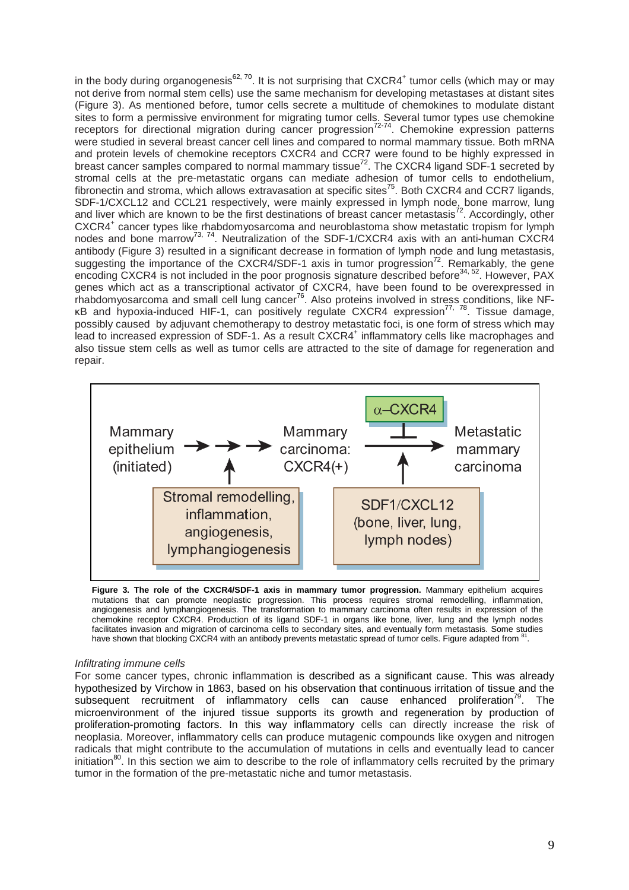in the body during organogenesis<sup>62, 70</sup>. It is not surprising that CXCR4<sup>+</sup> tumor cells (which may or may not derive from normal stem cells) use the same mechanism for developing metastases at distant sites (Figure 3). As mentioned before, tumor cells secrete a multitude of chemokines to modulate distant sites to form a permissive environment for migrating tumor cells. Several tumor types use chemokine receptors for directional migration during cancer progression<sup>72-74</sup>. Chemokine expression patterns were studied in several breast cancer cell lines and compared to normal mammary tissue. Both mRNA and protein levels of chemokine receptors CXCR4 and CCR7 were found to be highly expressed in breast cancer samples compared to normal mammary tissue<sup>72</sup>. The CXCR4 ligand SDF-1 secreted by stromal cells at the pre-metastatic organs can mediate adhesion of tumor cells to endothelium, fibronectin and stroma, which allows extravasation at specific sites<sup>75</sup>. Both CXCR4 and CCR7 ligands, SDF-1/CXCL12 and CCL21 respectively, were mainly expressed in lymph node, bone marrow, lung and liver which are known to be the first destinations of breast cancer metastasis $^{72}$ . Accordingly, other CXCR4<sup>+</sup> cancer types like rhabdomyosarcoma and neuroblastoma show metastatic tropism for lymph nodes and bone marrow<sup>73, 74</sup>. Neutralization of the SDF-1/CXCR4 axis with an anti-human CXCR4 antibody (Figure 3) resulted in a significant decrease in formation of lymph node and lung metastasis, suggesting the importance of the CXCR4/SDF-1 axis in tumor progression<sup>72</sup>. Remarkably, the gene encoding CXCR4 is not included in the poor prognosis signature described before<sup>34, 52</sup>. However, PAX genes which act as a transcriptional activator of CXCR4, have been found to be overexpressed in rhabdomyosarcoma and small cell lung cancer<sup>76</sup>. Also proteins involved in stress conditions, like NFκB and hypoxia-induced HIF-1, can positively regulate CXCR4 expression77, 78. Tissue damage, possibly caused by adjuvant chemotherapy to destroy metastatic foci, is one form of stress which may lead to increased expression of SDF-1. As a result CXCR4<sup>+</sup> inflammatory cells like macrophages and also tissue stem cells as well as tumor cells are attracted to the site of damage for regeneration and repair.



**Figure 3. The role of the CXCR4/SDF-1 axis in mammary tumor progression.** Mammary epithelium acquires mutations that can promote neoplastic progression. This process requires stromal remodelling, inflammation, angiogenesis and lymphangiogenesis. The transformation to mammary carcinoma often results in expression of the chemokine receptor CXCR4. Production of its ligand SDF-1 in organs like bone, liver, lung and the lymph nodes facilitates invasion and migration of carcinoma cells to secondary sites, and eventually form metastasis. Some studies have shown that blocking CXCR4 with an antibody prevents metastatic spread of tumor cells. Figure adapted from <sup>81</sup> .

## Infiltrating immune cells

For some cancer types, chronic inflammation is described as a significant cause. This was already hypothesized by Virchow in 1863, based on his observation that continuous irritation of tissue and the subsequent recruitment of inflammatory cells can cause enhanced proliferation<sup>79</sup>. The microenvironment of the injured tissue supports its growth and regeneration by production of proliferation-promoting factors. In this way inflammatory cells can directly increase the risk of neoplasia. Moreover, inflammatory cells can produce mutagenic compounds like oxygen and nitrogen radicals that might contribute to the accumulation of mutations in cells and eventually lead to cancer initiation<sup>80</sup>. In this section we aim to describe to the role of inflammatory cells recruited by the primary tumor in the formation of the pre-metastatic niche and tumor metastasis.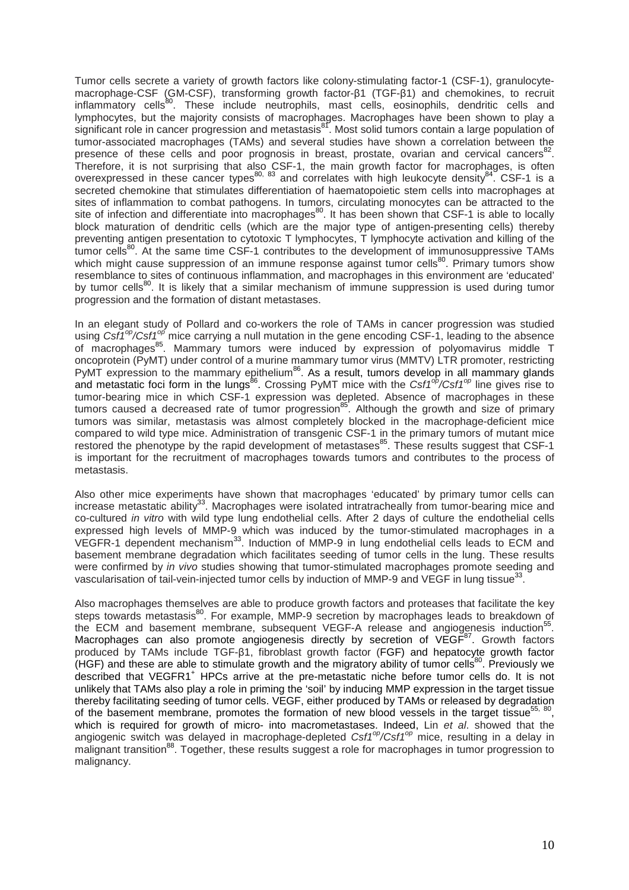Tumor cells secrete a variety of growth factors like colony-stimulating factor-1 (CSF-1), granulocytemacrophage-CSF (GM-CSF), transforming growth factor-β1 (TGF-β1) and chemokines, to recruit inflammatory cells<sup>80</sup>. These include neutrophils, mast cells, eosinophils, dendritic cells and lymphocytes, but the majority consists of macrophages. Macrophages have been shown to play a significant role in cancer progression and metastasis<sup>81</sup>. Most solid tumors contain a large population of tumor-associated macrophages (TAMs) and several studies have shown a correlation between the presence of these cells and poor prognosis in breast, prostate, ovarian and cervical cancers<sup>82</sup> . Therefore, it is not surprising that also CSF-1, the main growth factor for macrophages, is often overexpressed in these cancer types<sup>80, 83</sup> and correlates with high leukocyte density<sup>84</sup>. CSF-1 is a secreted chemokine that stimulates differentiation of haematopoietic stem cells into macrophages at sites of inflammation to combat pathogens. In tumors, circulating monocytes can be attracted to the site of infection and differentiate into macrophages<sup>80</sup>. It has been shown that CSF-1 is able to locally block maturation of dendritic cells (which are the major type of antigen-presenting cells) thereby preventing antigen presentation to cytotoxic T lymphocytes, T lymphocyte activation and killing of the tumor cells<sup>80</sup>. At the same time CSF-1 contributes to the development of immunosuppressive TAMs which might cause suppression of an immune response against tumor cells<sup>80</sup>. Primary tumors show resemblance to sites of continuous inflammation, and macrophages in this environment are 'educated' by tumor cells<sup>80</sup>. It is likely that a similar mechanism of immune suppression is used during tumor progression and the formation of distant metastases.

In an elegant study of Pollard and co-workers the role of TAMs in cancer progression was studied using  $C\text{sf1}^{\text{op}}$ /Csf1<sup>op</sup> mice carrying a null mutation in the gene encoding CSF-1, leading to the absence of macrophages<sup>85</sup>. Mammary tumors were induced by expression of polyomavirus middle T oncoprotein (PyMT) under control of a murine mammary tumor virus (MMTV) LTR promoter, restricting PyMT expression to the mammary epithelium<sup>86</sup>. As a result, tumors develop in all mammary glands and metastatic foci form in the lungs<sup>86</sup>. Crossing PyMT mice with the Csf1<sup>op</sup>/Csf1<sup>op</sup> line gives rise to tumor-bearing mice in which CSF-1 expression was depleted. Absence of macrophages in these tumors caused a decreased rate of tumor progression<sup>85</sup>. Although the growth and size of primary tumors was similar, metastasis was almost completely blocked in the macrophage-deficient mice compared to wild type mice. Administration of transgenic CSF-1 in the primary tumors of mutant mice restored the phenotype by the rapid development of metastases<sup>85</sup>. These results suggest that CSF-1 is important for the recruitment of macrophages towards tumors and contributes to the process of metastasis.

Also other mice experiments have shown that macrophages 'educated' by primary tumor cells can increase metastatic ability<sup>33</sup>. Macrophages were isolated intratracheally from tumor-bearing mice and co-cultured in vitro with wild type lung endothelial cells. After 2 days of culture the endothelial cells expressed high levels of MMP-9 which was induced by the tumor-stimulated macrophages in a VEGFR-1 dependent mechanism<sup>33</sup>. Induction of MMP-9 in lung endothelial cells leads to ECM and basement membrane degradation which facilitates seeding of tumor cells in the lung. These results were confirmed by in vivo studies showing that tumor-stimulated macrophages promote seeding and vascularisation of tail-vein-injected tumor cells by induction of MMP-9 and VEGF in lung tissue<sup>33</sup>.

Also macrophages themselves are able to produce growth factors and proteases that facilitate the key steps towards metastasis<sup>80</sup>. For example, MMP-9 secretion by macrophages leads to breakdown of the ECM and basement membrane, subsequent VEGF-A release and angiogenesis induction<sup>55</sup>. Macrophages can also promote angiogenesis directly by secretion of VEGF<sup>87</sup>. Growth factors produced by TAMs include TGF-β1, fibroblast growth factor (FGF) and hepatocyte growth factor (HGF) and these are able to stimulate growth and the migratory ability of tumor cells<sup>80</sup>. Previously we described that VEGFR1<sup>+</sup> HPCs arrive at the pre-metastatic niche before tumor cells do. It is not unlikely that TAMs also play a role in priming the 'soil' by inducing MMP expression in the target tissue thereby facilitating seeding of tumor cells. VEGF, either produced by TAMs or released by degradation of the basement membrane, promotes the formation of new blood vessels in the target tissue<sup>55, 80</sup>, which is required for growth of micro- into macrometastases. Indeed, Lin et al. showed that the angiogenic switch was delayed in macrophage-depleted  $Csf^{op}/Csf^{op}$  mice, resulting in a delay in malignant transition<sup>88</sup>. Together, these results suggest a role for macrophages in tumor progression to malignancy.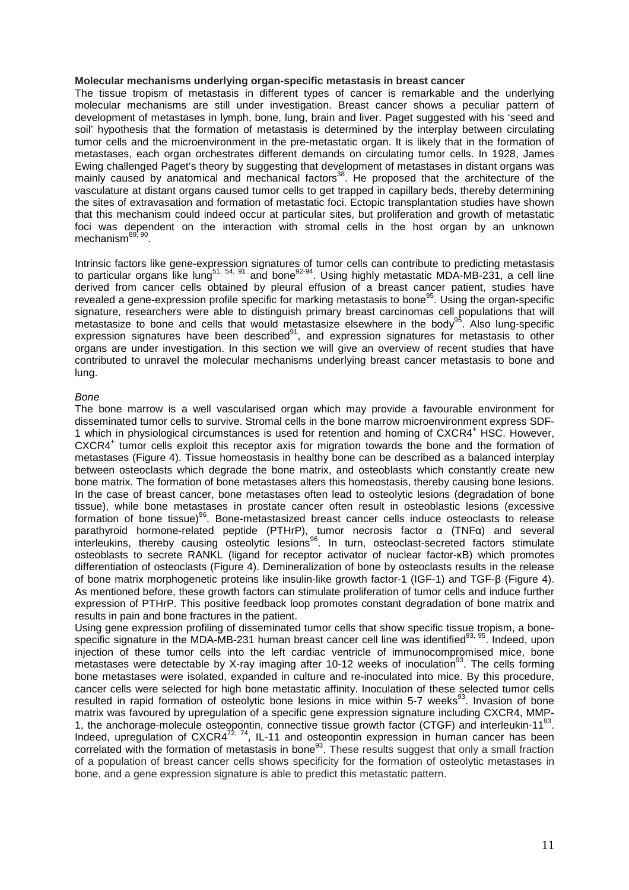#### **Molecular mechanisms underlying organ-specific metastasis in breast cancer**

The tissue tropism of metastasis in different types of cancer is remarkable and the underlying molecular mechanisms are still under investigation. Breast cancer shows a peculiar pattern of development of metastases in lymph, bone, lung, brain and liver. Paget suggested with his 'seed and soil' hypothesis that the formation of metastasis is determined by the interplay between circulating tumor cells and the microenvironment in the pre-metastatic organ. It is likely that in the formation of metastases, each organ orchestrates different demands on circulating tumor cells. In 1928, James Ewing challenged Paget's theory by suggesting that development of metastases in distant organs was mainly caused by anatomical and mechanical factors<sup>38</sup>. He proposed that the architecture of the vasculature at distant organs caused tumor cells to get trapped in capillary beds, thereby determining the sites of extravasation and formation of metastatic foci. Ectopic transplantation studies have shown that this mechanism could indeed occur at particular sites, but proliferation and growth of metastatic foci was dependent on the interaction with stromal cells in the host organ by an unknown mechanism<sup>89, 9</sup> .

Intrinsic factors like gene-expression signatures of tumor cells can contribute to predicting metastasis to particular organs like lung<sup>51, 54, 91</sup> and bone<sup>92-94</sup>. Using highly metastatic MDA-MB-231, a cell line derived from cancer cells obtained by pleural effusion of a breast cancer patient, studies have revealed a gene-expression profile specific for marking metastasis to bone<sup>95</sup>. Using the organ-specific signature, researchers were able to distinguish primary breast carcinomas cell populations that will metastasize to bone and cells that would metastasize elsewhere in the body<sup>95</sup>. Also lung-specific expression signatures have been described $91$ , and expression signatures for metastasis to other organs are under investigation. In this section we will give an overview of recent studies that have contributed to unravel the molecular mechanisms underlying breast cancer metastasis to bone and lung.

## Bone

The bone marrow is a well vascularised organ which may provide a favourable environment for disseminated tumor cells to survive. Stromal cells in the bone marrow microenvironment express SDF-1 which in physiological circumstances is used for retention and homing of CXCR4<sup>+</sup> HSC. However, CXCR4<sup>+</sup> tumor cells exploit this receptor axis for migration towards the bone and the formation of metastases (Figure 4). Tissue homeostasis in healthy bone can be described as a balanced interplay between osteoclasts which degrade the bone matrix, and osteoblasts which constantly create new bone matrix. The formation of bone metastases alters this homeostasis, thereby causing bone lesions. In the case of breast cancer, bone metastases often lead to osteolytic lesions (degradation of bone tissue), while bone metastases in prostate cancer often result in osteoblastic lesions (excessive formation of bone tissue)<sup>96</sup>. Bone-metastasized breast cancer cells induce osteoclasts to release parathyroid hormone-related peptide (PTHrP), tumor necrosis factor α (TNFα) and several interleukins, thereby causing osteolytic lesions<sup>96</sup>. In turn, osteoclast-secreted factors stimulate osteoblasts to secrete RANKL (ligand for receptor activator of nuclear factor-κB) which promotes differentiation of osteoclasts (Figure 4). Demineralization of bone by osteoclasts results in the release of bone matrix morphogenetic proteins like insulin-like growth factor-1 (IGF-1) and TGF-β (Figure 4). As mentioned before, these growth factors can stimulate proliferation of tumor cells and induce further expression of PTHrP. This positive feedback loop promotes constant degradation of bone matrix and results in pain and bone fractures in the patient.

Using gene expression profiling of disseminated tumor cells that show specific tissue tropism, a bonespecific signature in the MDA-MB-231 human breast cancer cell line was identified<sup>93, 95</sup>. Indeed, upon injection of these tumor cells into the left cardiac ventricle of immunocompromised mice, bone metastases were detectable by X-ray imaging after 10-12 weeks of inoculation<sup>93</sup>. The cells forming bone metastases were isolated, expanded in culture and re-inoculated into mice. By this procedure, cancer cells were selected for high bone metastatic affinity. Inoculation of these selected tumor cells resulted in rapid formation of osteolytic bone lesions in mice within 5-7 weeks<sup>93</sup>. Invasion of bone matrix was favoured by upregulation of a specific gene expression signature including CXCR4, MMP-1, the anchorage-molecule osteopontin, connective tissue growth factor (CTGF) and interleukin-11<sup>93</sup>. Indeed, upregulation of CXCR4 $^{72, 74}$ , IL-11 and osteopontin expression in human cancer has been correlated with the formation of metastasis in bone $^{93}$ . These results suggest that only a small fraction of a population of breast cancer cells shows specificity for the formation of osteolytic metastases in bone, and a gene expression signature is able to predict this metastatic pattern.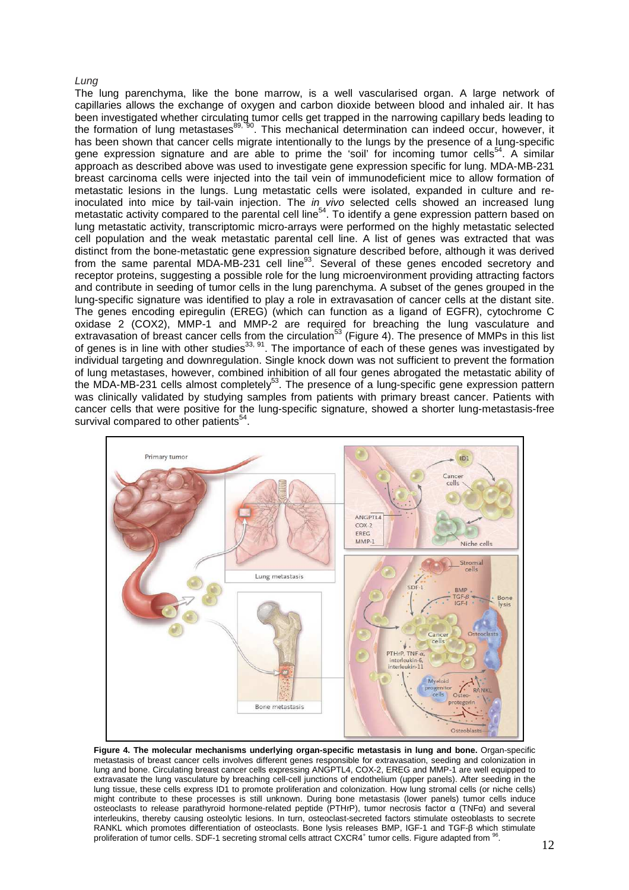#### Lung

The lung parenchyma, like the bone marrow, is a well vascularised organ. A large network of capillaries allows the exchange of oxygen and carbon dioxide between blood and inhaled air. It has been investigated whether circulating tumor cells get trapped in the narrowing capillary beds leading to the formation of lung metastases<sup>89, 90</sup>. This mechanical determination can indeed occur, however, it has been shown that cancer cells migrate intentionally to the lungs by the presence of a lung-specific gene expression signature and are able to prime the 'soil' for incoming tumor cells<sup>54</sup>. A similar approach as described above was used to investigate gene expression specific for lung. MDA-MB-231 breast carcinoma cells were injected into the tail vein of immunodeficient mice to allow formation of metastatic lesions in the lungs. Lung metastatic cells were isolated, expanded in culture and reinoculated into mice by tail-vain injection. The in vivo selected cells showed an increased lung metastatic activity compared to the parental cell line<sup>54</sup>. To identify a gene expression pattern based on lung metastatic activity, transcriptomic micro-arrays were performed on the highly metastatic selected cell population and the weak metastatic parental cell line. A list of genes was extracted that was distinct from the bone-metastatic gene expression signature described before, although it was derived from the same parental MDA-MB-231 cell line<sup>93</sup>. Several of these genes encoded secretory and receptor proteins, suggesting a possible role for the lung microenvironment providing attracting factors and contribute in seeding of tumor cells in the lung parenchyma. A subset of the genes grouped in the lung-specific signature was identified to play a role in extravasation of cancer cells at the distant site. The genes encoding epiregulin (EREG) (which can function as a ligand of EGFR), cytochrome C oxidase 2 (COX2), MMP-1 and MMP-2 are required for breaching the lung vasculature and extravasation of breast cancer cells from the circulation<sup>53</sup> (Figure 4). The presence of MMPs in this list of genes is in line with other studies<sup>33, 91</sup>. The importance of each of these genes was investigated by individual targeting and downregulation. Single knock down was not sufficient to prevent the formation of lung metastases, however, combined inhibition of all four genes abrogated the metastatic ability of the MDA-MB-231 cells almost completely<sup>53</sup>. The presence of a lung-specific gene expression pattern was clinically validated by studying samples from patients with primary breast cancer. Patients with cancer cells that were positive for the lung-specific signature, showed a shorter lung-metastasis-free survival compared to other patients<sup>54</sup>.



**Figure 4. The molecular mechanisms underlying organ-specific metastasis in lung and bone.** Organ-specific metastasis of breast cancer cells involves different genes responsible for extravasation, seeding and colonization in lung and bone. Circulating breast cancer cells expressing ANGPTL4, COX-2, EREG and MMP-1 are well equipped to extravasate the lung vasculature by breaching cell-cell junctions of endothelium (upper panels). After seeding in the lung tissue, these cells express ID1 to promote proliferation and colonization. How lung stromal cells (or niche cells) might contribute to these processes is still unknown. During bone metastasis (lower panels) tumor cells induce osteoclasts to release parathyroid hormone-related peptide (PTHrP), tumor necrosis factor α (TNFα) and several interleukins, thereby causing osteolytic lesions. In turn, osteoclast-secreted factors stimulate osteoblasts to secrete RANKL which promotes differentiation of osteoclasts. Bone lysis releases BMP, IGF-1 and TGF-β which stimulate proliferation of tumor cells. SDF-1 secreting stromal cells attract CXCR4<sup>+</sup> tumor cells. Figure adapted from <sup>96</sup> .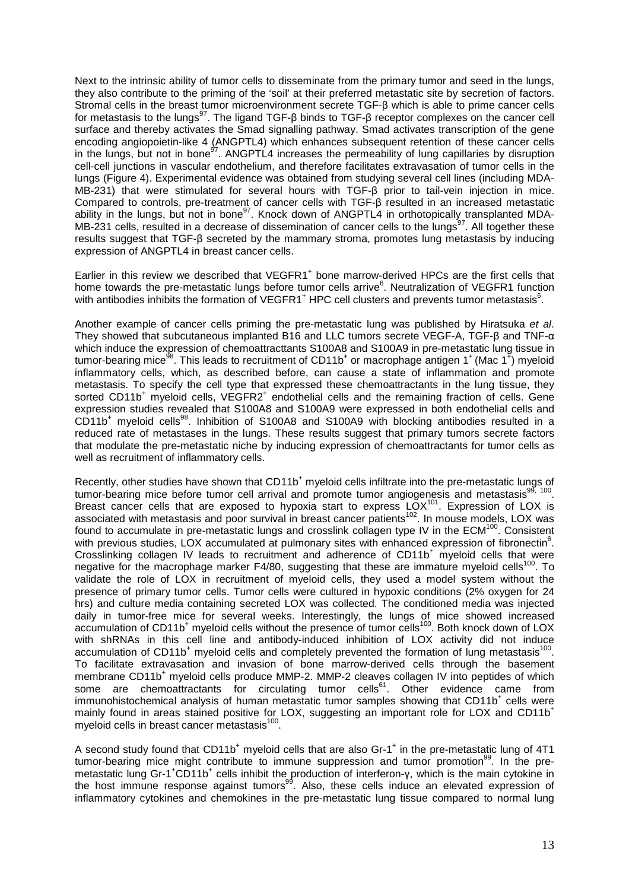Next to the intrinsic ability of tumor cells to disseminate from the primary tumor and seed in the lungs, they also contribute to the priming of the 'soil' at their preferred metastatic site by secretion of factors. Stromal cells in the breast tumor microenvironment secrete TGF-β which is able to prime cancer cells for metastasis to the lungs<sup>97</sup>. The ligand TGF-β binds to TGF-β receptor complexes on the cancer cell surface and thereby activates the Smad signalling pathway. Smad activates transcription of the gene encoding angiopoietin-like 4 (ANGPTL4) which enhances subsequent retention of these cancer cells in the lungs, but not in bone<sup>97</sup>. ANGPTL4 increases the permeability of lung capillaries by disruption cell-cell junctions in vascular endothelium, and therefore facilitates extravasation of tumor cells in the lungs (Figure 4). Experimental evidence was obtained from studying several cell lines (including MDA-MB-231) that were stimulated for several hours with TGF-β prior to tail-vein injection in mice. Compared to controls, pre-treatment of cancer cells with TGF-β resulted in an increased metastatic ability in the lungs, but not in bone<sup>97</sup>. Knock down of ANGPTL4 in orthotopically transplanted MDA-MB-231 cells, resulted in a decrease of dissemination of cancer cells to the lungs<sup>97</sup>. All together these results suggest that TGF-β secreted by the mammary stroma, promotes lung metastasis by inducing expression of ANGPTL4 in breast cancer cells.

Earlier in this review we described that VEGFR1<sup>+</sup> bone marrow-derived HPCs are the first cells that home towards the pre-metastatic lungs before tumor cells arrive $^6$ . Neutralization of VEGFR1 function with antibodies inhibits the formation of VEGFR1<sup>+</sup> HPC cell clusters and prevents tumor metastasis<sup>6</sup>.

Another example of cancer cells priming the pre-metastatic lung was published by Hiratsuka et al. They showed that subcutaneous implanted B16 and LLC tumors secrete VEGF-A, TGF-β and TNF-α which induce the expression of chemoattracttants S100A8 and S100A9 in pre-metastatic lung tissue in tumor-bearing mice<sup>gs</sup>. This leads to recruitment of CD11b<sup>+</sup> or macrophage antigen 1<sup>+</sup> (Mac 1<sup>+</sup>) myeloid inflammatory cells, which, as described before, can cause a state of inflammation and promote metastasis. To specify the cell type that expressed these chemoattractants in the lung tissue, they sorted CD11b<sup>+</sup> myeloid cells, VEGFR2<sup>+</sup> endothelial cells and the remaining fraction of cells. Gene expression studies revealed that S100A8 and S100A9 were expressed in both endothelial cells and  $CD11b<sup>+</sup>$  myeloid cells<sup>98</sup>. Inhibition of S100A8 and S100A9 with blocking antibodies resulted in a reduced rate of metastases in the lungs. These results suggest that primary tumors secrete factors that modulate the pre-metastatic niche by inducing expression of chemoattractants for tumor cells as well as recruitment of inflammatory cells.

Recently, other studies have shown that CD11b<sup>+</sup> myeloid cells infiltrate into the pre-metastatic lungs of tumor-bearing mice before tumor cell arrival and promote tumor angiogenesis and metastasis<sup>99, 100</sup>. Breast cancer cells that are exposed to hypoxia start to express  $LOX^{101}$ . Expression of LOX is associated with metastasis and poor survival in breast cancer patients<sup>102</sup>. In mouse models, LOX was found to accumulate in pre-metastatic lungs and crosslink collagen type IV in the ECM<sup>100</sup>. Consistent with previous studies, LOX accumulated at pulmonary sites with enhanced expression of fibronectin<sup>6</sup>. Crosslinking collagen IV leads to recruitment and adherence of CD11b<sup>+</sup> myeloid cells that were negative for the macrophage marker  $F4/80$ , suggesting that these are immature myeloid cells<sup>100</sup>. To validate the role of LOX in recruitment of myeloid cells, they used a model system without the presence of primary tumor cells. Tumor cells were cultured in hypoxic conditions (2% oxygen for 24 hrs) and culture media containing secreted LOX was collected. The conditioned media was injected daily in tumor-free mice for several weeks. Interestingly, the lungs of mice showed increased accumulation of CD11b<sup>+</sup> myeloid cells without the presence of tumor cells<sup>100</sup>. Both knock down of LOX with shRNAs in this cell line and antibody-induced inhibition of LOX activity did not induce accumulation of CD11b<sup>+</sup> myeloid cells and completely prevented the formation of lung metastasis<sup>100</sup>. To facilitate extravasation and invasion of bone marrow-derived cells through the basement membrane CD11b<sup>+</sup> myeloid cells produce MMP-2. MMP-2 cleaves collagen IV into peptides of which some are chemoattractants for circulating tumor cells<sup>61</sup>. Other evidence came from immunohistochemical analysis of human metastatic tumor samples showing that CD11b<sup>+</sup> cells were mainly found in areas stained positive for LOX, suggesting an important role for LOX and CD11b<sup>+</sup> myeloid cells in breast cancer metastasis<sup>100</sup>.

A second study found that  $CD11b^+$  myeloid cells that are also Gr-1<sup>+</sup> in the pre-metastatic lung of 4T1 tumor-bearing mice might contribute to immune suppression and tumor promotion<sup>99</sup>. In the premetastatic lung Gr-1<sup>+</sup>CD11b<sup>+</sup> cells inhibit the production of interferon-γ, which is the main cytokine in the host immune response against tumors<sup>99</sup>. Also, these cells induce an elevated expression of inflammatory cytokines and chemokines in the pre-metastatic lung tissue compared to normal lung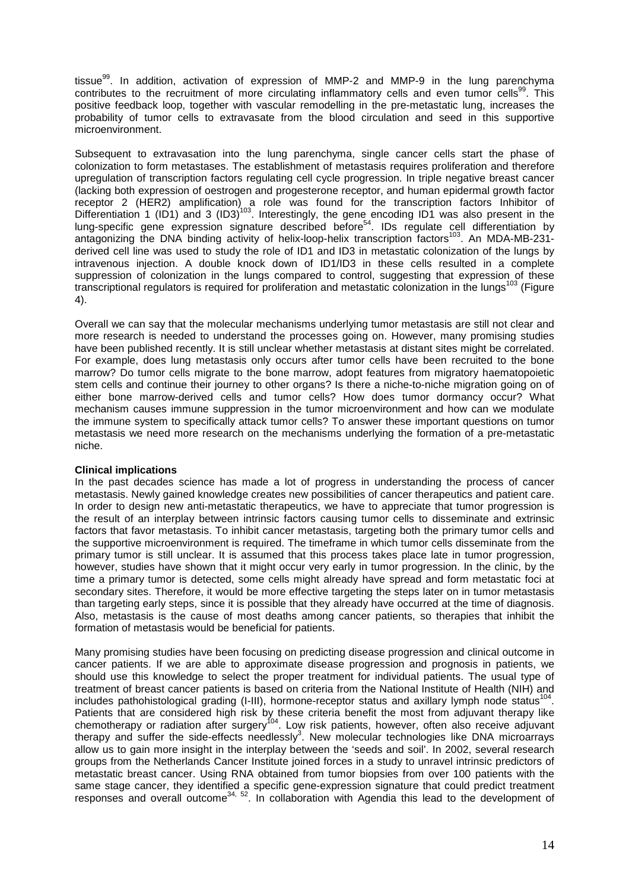tissue<sup>99</sup>. In addition, activation of expression of MMP-2 and MMP-9 in the lung parenchyma contributes to the recruitment of more circulating inflammatory cells and even tumor cells<sup>99</sup>. This positive feedback loop, together with vascular remodelling in the pre-metastatic lung, increases the probability of tumor cells to extravasate from the blood circulation and seed in this supportive microenvironment.

Subsequent to extravasation into the lung parenchyma, single cancer cells start the phase of colonization to form metastases. The establishment of metastasis requires proliferation and therefore upregulation of transcription factors regulating cell cycle progression. In triple negative breast cancer (lacking both expression of oestrogen and progesterone receptor, and human epidermal growth factor receptor 2 (HER2) amplification) a role was found for the transcription factors Inhibitor of Differentiation 1 (ID1) and 3 (ID3)<sup>103</sup>. Interestingly, the gene encoding ID1 was also present in the lung-specific gene expression signature described before<sup>54</sup>. IDs regulate cell differentiation by antagonizing the DNA binding activity of helix-loop-helix transcription factors<sup>103</sup>. An MDA-MB-231derived cell line was used to study the role of ID1 and ID3 in metastatic colonization of the lungs by intravenous injection. A double knock down of ID1/ID3 in these cells resulted in a complete suppression of colonization in the lungs compared to control, suggesting that expression of these transcriptional regulators is required for proliferation and metastatic colonization in the lungs<sup>103</sup> (Figure 4).

Overall we can say that the molecular mechanisms underlying tumor metastasis are still not clear and more research is needed to understand the processes going on. However, many promising studies have been published recently. It is still unclear whether metastasis at distant sites might be correlated. For example, does lung metastasis only occurs after tumor cells have been recruited to the bone marrow? Do tumor cells migrate to the bone marrow, adopt features from migratory haematopoietic stem cells and continue their journey to other organs? Is there a niche-to-niche migration going on of either bone marrow-derived cells and tumor cells? How does tumor dormancy occur? What mechanism causes immune suppression in the tumor microenvironment and how can we modulate the immune system to specifically attack tumor cells? To answer these important questions on tumor metastasis we need more research on the mechanisms underlying the formation of a pre-metastatic niche.

# **Clinical implications**

In the past decades science has made a lot of progress in understanding the process of cancer metastasis. Newly gained knowledge creates new possibilities of cancer therapeutics and patient care. In order to design new anti-metastatic therapeutics, we have to appreciate that tumor progression is the result of an interplay between intrinsic factors causing tumor cells to disseminate and extrinsic factors that favor metastasis. To inhibit cancer metastasis, targeting both the primary tumor cells and the supportive microenvironment is required. The timeframe in which tumor cells disseminate from the primary tumor is still unclear. It is assumed that this process takes place late in tumor progression, however, studies have shown that it might occur very early in tumor progression. In the clinic, by the time a primary tumor is detected, some cells might already have spread and form metastatic foci at secondary sites. Therefore, it would be more effective targeting the steps later on in tumor metastasis than targeting early steps, since it is possible that they already have occurred at the time of diagnosis. Also, metastasis is the cause of most deaths among cancer patients, so therapies that inhibit the formation of metastasis would be beneficial for patients.

Many promising studies have been focusing on predicting disease progression and clinical outcome in cancer patients. If we are able to approximate disease progression and prognosis in patients, we should use this knowledge to select the proper treatment for individual patients. The usual type of treatment of breast cancer patients is based on criteria from the National Institute of Health (NIH) and includes pathohistological grading (I-III), hormone-receptor status and axillary lymph node status<sup>10</sup> . Patients that are considered high risk by these criteria benefit the most from adjuvant therapy like chemotherapy or radiation after surgery<sup>104</sup>. Low risk patients, however, often also receive adjuvant therapy and suffer the side-effects needlessly<sup>3</sup>. New molecular technologies like DNA microarrays allow us to gain more insight in the interplay between the 'seeds and soil'. In 2002, several research groups from the Netherlands Cancer Institute joined forces in a study to unravel intrinsic predictors of metastatic breast cancer. Using RNA obtained from tumor biopsies from over 100 patients with the same stage cancer, they identified a specific gene-expression signature that could predict treatment responses and overall outcome34, 52. In collaboration with Agendia this lead to the development of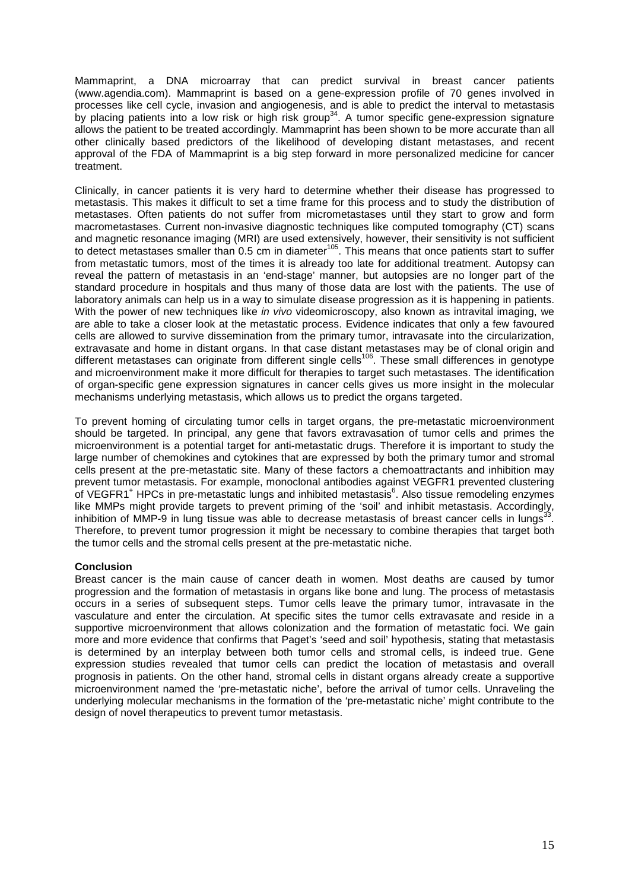Mammaprint, a DNA microarray that can predict survival in breast cancer patients (www.agendia.com). Mammaprint is based on a gene-expression profile of 70 genes involved in processes like cell cycle, invasion and angiogenesis, and is able to predict the interval to metastasis by placing patients into a low risk or high risk group<sup>34</sup>. A tumor specific gene-expression signature allows the patient to be treated accordingly. Mammaprint has been shown to be more accurate than all other clinically based predictors of the likelihood of developing distant metastases, and recent approval of the FDA of Mammaprint is a big step forward in more personalized medicine for cancer treatment.

Clinically, in cancer patients it is very hard to determine whether their disease has progressed to metastasis. This makes it difficult to set a time frame for this process and to study the distribution of metastases. Often patients do not suffer from micrometastases until they start to grow and form macrometastases. Current non-invasive diagnostic techniques like computed tomography (CT) scans and magnetic resonance imaging (MRI) are used extensively, however, their sensitivity is not sufficient to detect metastases smaller than 0.5 cm in diameter<sup>105</sup>. This means that once patients start to suffer from metastatic tumors, most of the times it is already too late for additional treatment. Autopsy can reveal the pattern of metastasis in an 'end-stage' manner, but autopsies are no longer part of the standard procedure in hospitals and thus many of those data are lost with the patients. The use of laboratory animals can help us in a way to simulate disease progression as it is happening in patients. With the power of new techniques like *in vivo* videomicroscopy, also known as intravital imaging, we are able to take a closer look at the metastatic process. Evidence indicates that only a few favoured cells are allowed to survive dissemination from the primary tumor, intravasate into the circularization, extravasate and home in distant organs. In that case distant metastases may be of clonal origin and different metastases can originate from different single cells<sup>106</sup>. These small differences in genotype and microenvironment make it more difficult for therapies to target such metastases. The identification of organ-specific gene expression signatures in cancer cells gives us more insight in the molecular mechanisms underlying metastasis, which allows us to predict the organs targeted.

To prevent homing of circulating tumor cells in target organs, the pre-metastatic microenvironment should be targeted. In principal, any gene that favors extravasation of tumor cells and primes the microenvironment is a potential target for anti-metastatic drugs. Therefore it is important to study the large number of chemokines and cytokines that are expressed by both the primary tumor and stromal cells present at the pre-metastatic site. Many of these factors a chemoattractants and inhibition may prevent tumor metastasis. For example, monoclonal antibodies against VEGFR1 prevented clustering of VEGFR1<sup>+</sup> HPCs in pre-metastatic lungs and inhibited metastasis<sup>6</sup>. Also tissue remodeling enzymes like MMPs might provide targets to prevent priming of the 'soil' and inhibit metastasis. Accordingly, inhibition of MMP-9 in lung tissue was able to decrease metastasis of breast cancer cells in lungs $33$ . Therefore, to prevent tumor progression it might be necessary to combine therapies that target both the tumor cells and the stromal cells present at the pre-metastatic niche.

# **Conclusion**

Breast cancer is the main cause of cancer death in women. Most deaths are caused by tumor progression and the formation of metastasis in organs like bone and lung. The process of metastasis occurs in a series of subsequent steps. Tumor cells leave the primary tumor, intravasate in the vasculature and enter the circulation. At specific sites the tumor cells extravasate and reside in a supportive microenvironment that allows colonization and the formation of metastatic foci. We gain more and more evidence that confirms that Paget's 'seed and soil' hypothesis, stating that metastasis is determined by an interplay between both tumor cells and stromal cells, is indeed true. Gene expression studies revealed that tumor cells can predict the location of metastasis and overall prognosis in patients. On the other hand, stromal cells in distant organs already create a supportive microenvironment named the 'pre-metastatic niche', before the arrival of tumor cells. Unraveling the underlying molecular mechanisms in the formation of the 'pre-metastatic niche' might contribute to the design of novel therapeutics to prevent tumor metastasis.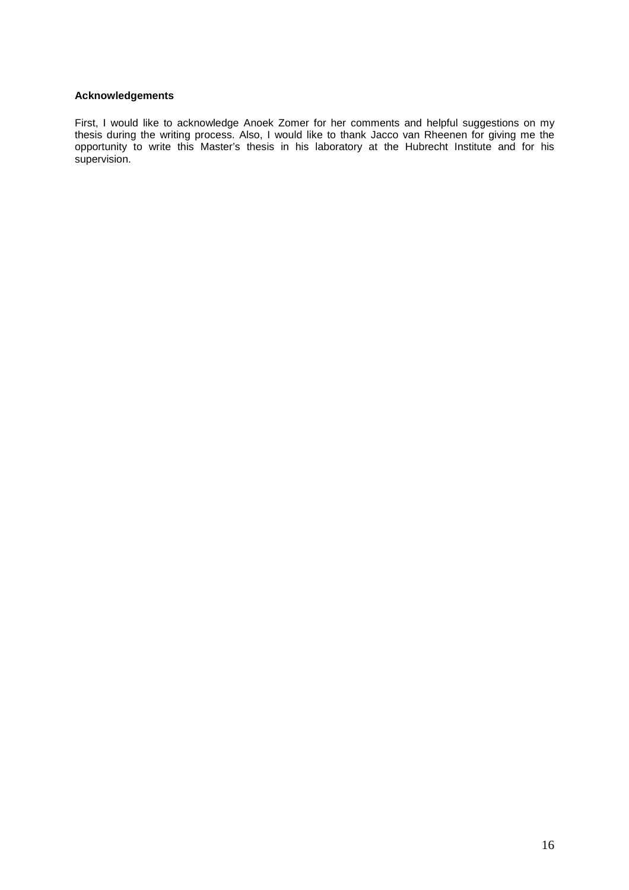## **Acknowledgements**

First, I would like to acknowledge Anoek Zomer for her comments and helpful suggestions on my thesis during the writing process. Also, I would like to thank Jacco van Rheenen for giving me the opportunity to write this Master's thesis in his laboratory at the Hubrecht Institute and for his supervision.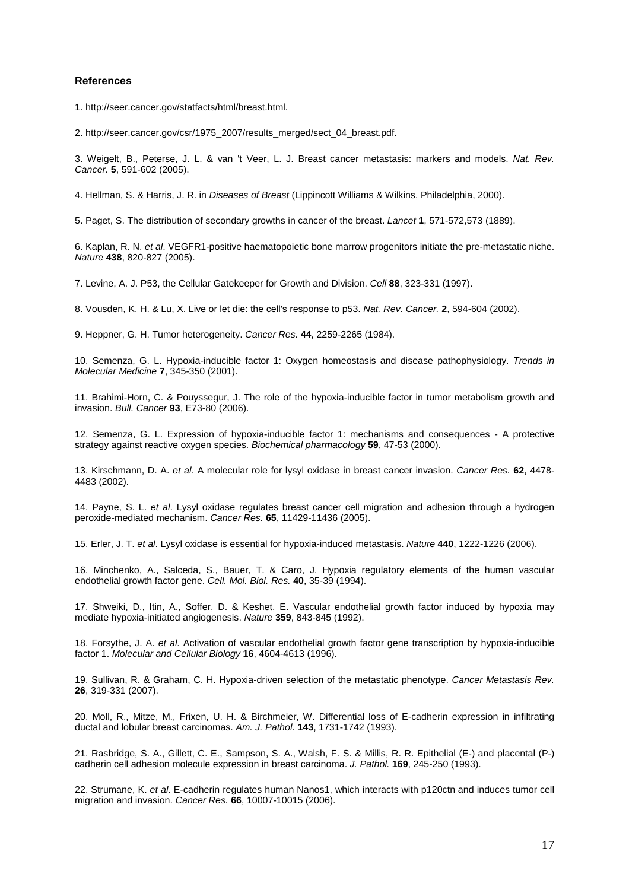#### **References**

1. http://seer.cancer.gov/statfacts/html/breast.html.

2. http://seer.cancer.gov/csr/1975\_2007/results\_merged/sect\_04\_breast.pdf.

3. Weigelt, B., Peterse, J. L. & van 't Veer, L. J. Breast cancer metastasis: markers and models. Nat. Rev. Cancer. **5**, 591-602 (2005).

4. Hellman, S. & Harris, J. R. in Diseases of Breast (Lippincott Williams & Wilkins, Philadelphia, 2000).

5. Paget, S. The distribution of secondary growths in cancer of the breast. Lancet **1**, 571-572,573 (1889).

6. Kaplan, R. N. et al. VEGFR1-positive haematopoietic bone marrow progenitors initiate the pre-metastatic niche. Nature **438**, 820-827 (2005).

7. Levine, A. J. P53, the Cellular Gatekeeper for Growth and Division. Cell **88**, 323-331 (1997).

8. Vousden, K. H. & Lu, X. Live or let die: the cell's response to p53. Nat. Rev. Cancer. **2**, 594-604 (2002).

9. Heppner, G. H. Tumor heterogeneity. Cancer Res. **44**, 2259-2265 (1984).

10. Semenza, G. L. Hypoxia-inducible factor 1: Oxygen homeostasis and disease pathophysiology. Trends in Molecular Medicine **7**, 345-350 (2001).

11. Brahimi-Horn, C. & Pouyssegur, J. The role of the hypoxia-inducible factor in tumor metabolism growth and invasion. Bull. Cancer **93**, E73-80 (2006).

12. Semenza, G. L. Expression of hypoxia-inducible factor 1: mechanisms and consequences - A protective strategy against reactive oxygen species. Biochemical pharmacology **59**, 47-53 (2000).

13. Kirschmann, D. A. et al. A molecular role for lysyl oxidase in breast cancer invasion. Cancer Res. **62**, 4478- 4483 (2002).

14. Payne, S. L. et al. Lysyl oxidase regulates breast cancer cell migration and adhesion through a hydrogen peroxide-mediated mechanism. Cancer Res. **65**, 11429-11436 (2005).

15. Erler, J. T. et al. Lysyl oxidase is essential for hypoxia-induced metastasis. Nature **440**, 1222-1226 (2006).

16. Minchenko, A., Salceda, S., Bauer, T. & Caro, J. Hypoxia regulatory elements of the human vascular endothelial growth factor gene. Cell. Mol. Biol. Res. **40**, 35-39 (1994).

17. Shweiki, D., Itin, A., Soffer, D. & Keshet, E. Vascular endothelial growth factor induced by hypoxia may mediate hypoxia-initiated angiogenesis. Nature **359**, 843-845 (1992).

18. Forsythe, J. A. et al. Activation of vascular endothelial growth factor gene transcription by hypoxia-inducible factor 1. Molecular and Cellular Biology **16**, 4604-4613 (1996).

19. Sullivan, R. & Graham, C. H. Hypoxia-driven selection of the metastatic phenotype. Cancer Metastasis Rev. **26**, 319-331 (2007).

20. Moll, R., Mitze, M., Frixen, U. H. & Birchmeier, W. Differential loss of E-cadherin expression in infiltrating ductal and lobular breast carcinomas. Am. J. Pathol. **143**, 1731-1742 (1993).

21. Rasbridge, S. A., Gillett, C. E., Sampson, S. A., Walsh, F. S. & Millis, R. R. Epithelial (E-) and placental (P-) cadherin cell adhesion molecule expression in breast carcinoma. J. Pathol. **169**, 245-250 (1993).

22. Strumane, K. et al. E-cadherin regulates human Nanos1, which interacts with p120ctn and induces tumor cell migration and invasion. Cancer Res. **66**, 10007-10015 (2006).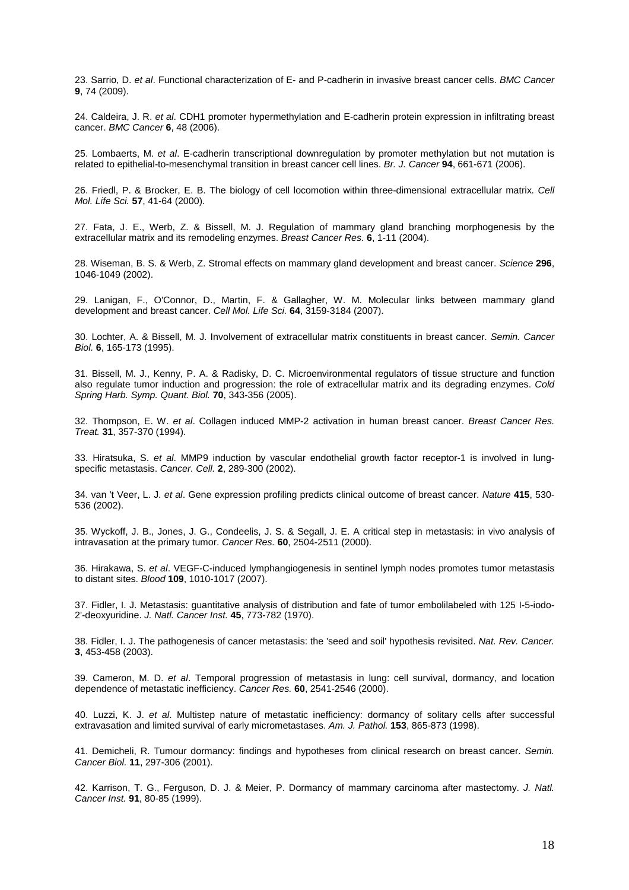23. Sarrio, D. et al. Functional characterization of E- and P-cadherin in invasive breast cancer cells. BMC Cancer **9**, 74 (2009).

24. Caldeira, J. R. et al. CDH1 promoter hypermethylation and E-cadherin protein expression in infiltrating breast cancer. BMC Cancer **6**, 48 (2006).

25. Lombaerts, M. et al. E-cadherin transcriptional downregulation by promoter methylation but not mutation is related to epithelial-to-mesenchymal transition in breast cancer cell lines. Br. J. Cancer **94**, 661-671 (2006).

26. Friedl, P. & Brocker, E. B. The biology of cell locomotion within three-dimensional extracellular matrix. Cell Mol. Life Sci. **57**, 41-64 (2000).

27. Fata, J. E., Werb, Z. & Bissell, M. J. Regulation of mammary gland branching morphogenesis by the extracellular matrix and its remodeling enzymes. Breast Cancer Res. **6**, 1-11 (2004).

28. Wiseman, B. S. & Werb, Z. Stromal effects on mammary gland development and breast cancer. Science **296**, 1046-1049 (2002).

29. Lanigan, F., O'Connor, D., Martin, F. & Gallagher, W. M. Molecular links between mammary gland development and breast cancer. Cell Mol. Life Sci. **64**, 3159-3184 (2007).

30. Lochter, A. & Bissell, M. J. Involvement of extracellular matrix constituents in breast cancer. Semin. Cancer Biol. **6**, 165-173 (1995).

31. Bissell, M. J., Kenny, P. A. & Radisky, D. C. Microenvironmental regulators of tissue structure and function also regulate tumor induction and progression: the role of extracellular matrix and its degrading enzymes. Cold Spring Harb. Symp. Quant. Biol. **70**, 343-356 (2005).

32. Thompson, E. W. et al. Collagen induced MMP-2 activation in human breast cancer. Breast Cancer Res. Treat. **31**, 357-370 (1994).

33. Hiratsuka, S. et al. MMP9 induction by vascular endothelial growth factor receptor-1 is involved in lungspecific metastasis. Cancer. Cell. **2**, 289-300 (2002).

34. van 't Veer, L. J. et al. Gene expression profiling predicts clinical outcome of breast cancer. Nature **415**, 530- 536 (2002).

35. Wyckoff, J. B., Jones, J. G., Condeelis, J. S. & Segall, J. E. A critical step in metastasis: in vivo analysis of intravasation at the primary tumor. Cancer Res. **60**, 2504-2511 (2000).

36. Hirakawa, S. et al. VEGF-C-induced lymphangiogenesis in sentinel lymph nodes promotes tumor metastasis to distant sites. Blood **109**, 1010-1017 (2007).

37. Fidler, I. J. Metastasis: guantitative analysis of distribution and fate of tumor embolilabeled with 125 I-5-iodo-2'-deoxyuridine. J. Natl. Cancer Inst. **45**, 773-782 (1970).

38. Fidler, I. J. The pathogenesis of cancer metastasis: the 'seed and soil' hypothesis revisited. Nat. Rev. Cancer. **3**, 453-458 (2003).

39. Cameron, M. D. et al. Temporal progression of metastasis in lung: cell survival, dormancy, and location dependence of metastatic inefficiency. Cancer Res. **60**, 2541-2546 (2000).

40. Luzzi, K. J. et al. Multistep nature of metastatic inefficiency: dormancy of solitary cells after successful extravasation and limited survival of early micrometastases. Am. J. Pathol. **153**, 865-873 (1998).

41. Demicheli, R. Tumour dormancy: findings and hypotheses from clinical research on breast cancer. Semin. Cancer Biol. **11**, 297-306 (2001).

42. Karrison, T. G., Ferguson, D. J. & Meier, P. Dormancy of mammary carcinoma after mastectomy. J. Natl. Cancer Inst. **91**, 80-85 (1999).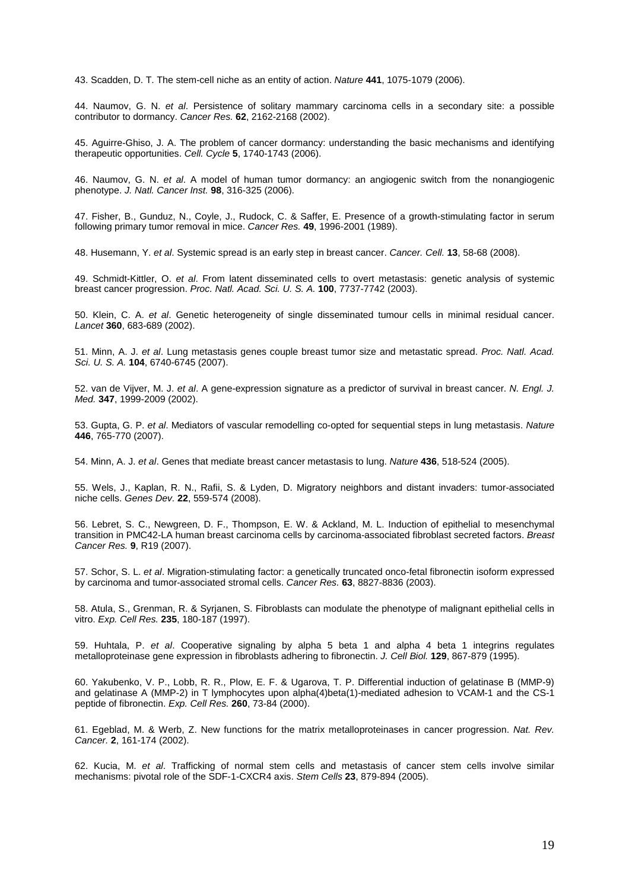43. Scadden, D. T. The stem-cell niche as an entity of action. Nature **441**, 1075-1079 (2006).

44. Naumov, G. N. et al. Persistence of solitary mammary carcinoma cells in a secondary site: a possible contributor to dormancy. Cancer Res. **62**, 2162-2168 (2002).

45. Aguirre-Ghiso, J. A. The problem of cancer dormancy: understanding the basic mechanisms and identifying therapeutic opportunities. Cell. Cycle **5**, 1740-1743 (2006).

46. Naumov, G. N. et al. A model of human tumor dormancy: an angiogenic switch from the nonangiogenic phenotype. J. Natl. Cancer Inst. **98**, 316-325 (2006).

47. Fisher, B., Gunduz, N., Coyle, J., Rudock, C. & Saffer, E. Presence of a growth-stimulating factor in serum following primary tumor removal in mice. Cancer Res. **49**, 1996-2001 (1989).

48. Husemann, Y. et al. Systemic spread is an early step in breast cancer. Cancer. Cell. **13**, 58-68 (2008).

49. Schmidt-Kittler, O. et al. From latent disseminated cells to overt metastasis: genetic analysis of systemic breast cancer progression. Proc. Natl. Acad. Sci. U. S. A. **100**, 7737-7742 (2003).

50. Klein, C. A. et al. Genetic heterogeneity of single disseminated tumour cells in minimal residual cancer. Lancet **360**, 683-689 (2002).

51. Minn, A. J. et al. Lung metastasis genes couple breast tumor size and metastatic spread. Proc. Natl. Acad. Sci. U. S. A. **104**, 6740-6745 (2007).

52. van de Vijver, M. J. et al. A gene-expression signature as a predictor of survival in breast cancer. N. Engl. J. Med. **347**, 1999-2009 (2002).

53. Gupta, G. P. et al. Mediators of vascular remodelling co-opted for sequential steps in lung metastasis. Nature **446**, 765-770 (2007).

54. Minn, A. J. et al. Genes that mediate breast cancer metastasis to lung. Nature **436**, 518-524 (2005).

55. Wels, J., Kaplan, R. N., Rafii, S. & Lyden, D. Migratory neighbors and distant invaders: tumor-associated niche cells. Genes Dev. **22**, 559-574 (2008).

56. Lebret, S. C., Newgreen, D. F., Thompson, E. W. & Ackland, M. L. Induction of epithelial to mesenchymal transition in PMC42-LA human breast carcinoma cells by carcinoma-associated fibroblast secreted factors. Breast Cancer Res. **9**, R19 (2007).

57. Schor, S. L. et al. Migration-stimulating factor: a genetically truncated onco-fetal fibronectin isoform expressed by carcinoma and tumor-associated stromal cells. Cancer Res. **63**, 8827-8836 (2003).

58. Atula, S., Grenman, R. & Syrjanen, S. Fibroblasts can modulate the phenotype of malignant epithelial cells in vitro. Exp. Cell Res. **235**, 180-187 (1997).

59. Huhtala, P. et al. Cooperative signaling by alpha 5 beta 1 and alpha 4 beta 1 integrins regulates metalloproteinase gene expression in fibroblasts adhering to fibronectin. J. Cell Biol. **129**, 867-879 (1995).

60. Yakubenko, V. P., Lobb, R. R., Plow, E. F. & Ugarova, T. P. Differential induction of gelatinase B (MMP-9) and gelatinase A (MMP-2) in T lymphocytes upon alpha(4)beta(1)-mediated adhesion to VCAM-1 and the CS-1 peptide of fibronectin. Exp. Cell Res. **260**, 73-84 (2000).

61. Egeblad, M. & Werb, Z. New functions for the matrix metalloproteinases in cancer progression. Nat. Rev. Cancer. **2**, 161-174 (2002).

62. Kucia, M. et al. Trafficking of normal stem cells and metastasis of cancer stem cells involve similar mechanisms: pivotal role of the SDF-1-CXCR4 axis. Stem Cells **23**, 879-894 (2005).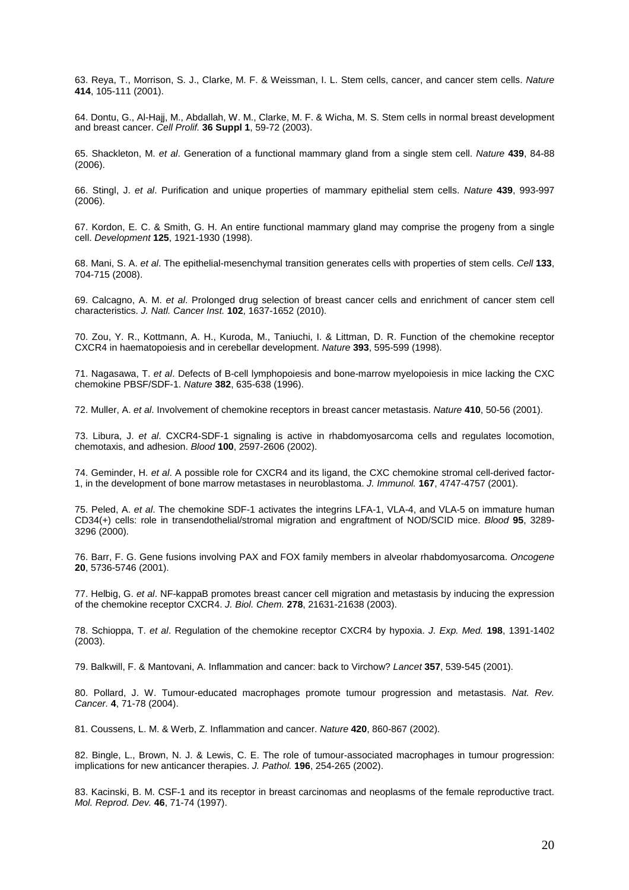63. Reya, T., Morrison, S. J., Clarke, M. F. & Weissman, I. L. Stem cells, cancer, and cancer stem cells. Nature **414**, 105-111 (2001).

64. Dontu, G., Al-Hajj, M., Abdallah, W. M., Clarke, M. F. & Wicha, M. S. Stem cells in normal breast development and breast cancer. Cell Prolif. **36 Suppl 1**, 59-72 (2003).

65. Shackleton, M. et al. Generation of a functional mammary gland from a single stem cell. Nature **439**, 84-88 (2006).

66. Stingl, J. et al. Purification and unique properties of mammary epithelial stem cells. Nature **439**, 993-997 (2006).

67. Kordon, E. C. & Smith, G. H. An entire functional mammary gland may comprise the progeny from a single cell. Development **125**, 1921-1930 (1998).

68. Mani, S. A. et al. The epithelial-mesenchymal transition generates cells with properties of stem cells. Cell **133**, 704-715 (2008).

69. Calcagno, A. M. et al. Prolonged drug selection of breast cancer cells and enrichment of cancer stem cell characteristics. J. Natl. Cancer Inst. **102**, 1637-1652 (2010).

70. Zou, Y. R., Kottmann, A. H., Kuroda, M., Taniuchi, I. & Littman, D. R. Function of the chemokine receptor CXCR4 in haematopoiesis and in cerebellar development. Nature **393**, 595-599 (1998).

71. Nagasawa, T. et al. Defects of B-cell lymphopoiesis and bone-marrow myelopoiesis in mice lacking the CXC chemokine PBSF/SDF-1. Nature **382**, 635-638 (1996).

72. Muller, A. et al. Involvement of chemokine receptors in breast cancer metastasis. Nature **410**, 50-56 (2001).

73. Libura, J. et al. CXCR4-SDF-1 signaling is active in rhabdomyosarcoma cells and regulates locomotion, chemotaxis, and adhesion. Blood **100**, 2597-2606 (2002).

74. Geminder, H. et al. A possible role for CXCR4 and its ligand, the CXC chemokine stromal cell-derived factor-1, in the development of bone marrow metastases in neuroblastoma. J. Immunol. **167**, 4747-4757 (2001).

75. Peled, A. et al. The chemokine SDF-1 activates the integrins LFA-1, VLA-4, and VLA-5 on immature human CD34(+) cells: role in transendothelial/stromal migration and engraftment of NOD/SCID mice. Blood **95**, 3289- 3296 (2000).

76. Barr, F. G. Gene fusions involving PAX and FOX family members in alveolar rhabdomyosarcoma. Oncogene **20**, 5736-5746 (2001).

77. Helbig, G. et al. NF-kappaB promotes breast cancer cell migration and metastasis by inducing the expression of the chemokine receptor CXCR4. J. Biol. Chem. **278**, 21631-21638 (2003).

78. Schioppa, T. et al. Regulation of the chemokine receptor CXCR4 by hypoxia. J. Exp. Med. **198**, 1391-1402 (2003).

79. Balkwill, F. & Mantovani, A. Inflammation and cancer: back to Virchow? Lancet **357**, 539-545 (2001).

80. Pollard, J. W. Tumour-educated macrophages promote tumour progression and metastasis. Nat. Rev. Cancer. **4**, 71-78 (2004).

81. Coussens, L. M. & Werb, Z. Inflammation and cancer. Nature **420**, 860-867 (2002).

82. Bingle, L., Brown, N. J. & Lewis, C. E. The role of tumour-associated macrophages in tumour progression: implications for new anticancer therapies. J. Pathol. **196**, 254-265 (2002).

83. Kacinski, B. M. CSF-1 and its receptor in breast carcinomas and neoplasms of the female reproductive tract. Mol. Reprod. Dev. **46**, 71-74 (1997).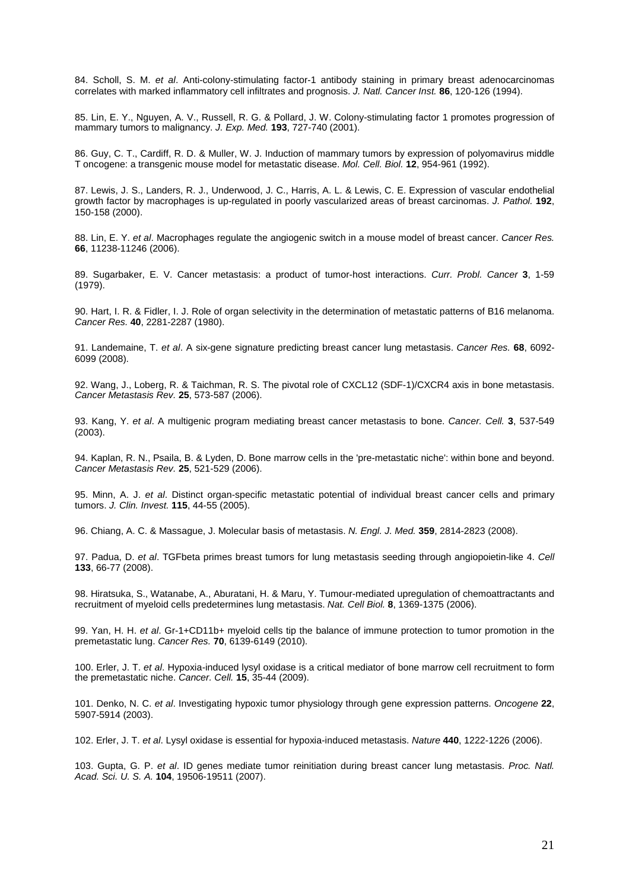84. Scholl, S. M. et al. Anti-colony-stimulating factor-1 antibody staining in primary breast adenocarcinomas correlates with marked inflammatory cell infiltrates and prognosis. J. Natl. Cancer Inst. **86**, 120-126 (1994).

85. Lin, E. Y., Nguyen, A. V., Russell, R. G. & Pollard, J. W. Colony-stimulating factor 1 promotes progression of mammary tumors to malignancy. J. Exp. Med. **193**, 727-740 (2001).

86. Guy, C. T., Cardiff, R. D. & Muller, W. J. Induction of mammary tumors by expression of polyomavirus middle T oncogene: a transgenic mouse model for metastatic disease. Mol. Cell. Biol. **12**, 954-961 (1992).

87. Lewis, J. S., Landers, R. J., Underwood, J. C., Harris, A. L. & Lewis, C. E. Expression of vascular endothelial growth factor by macrophages is up-regulated in poorly vascularized areas of breast carcinomas. J. Pathol. **192**, 150-158 (2000).

88. Lin, E. Y. et al. Macrophages regulate the angiogenic switch in a mouse model of breast cancer. Cancer Res. **66**, 11238-11246 (2006).

89. Sugarbaker, E. V. Cancer metastasis: a product of tumor-host interactions. Curr. Probl. Cancer **3**, 1-59 (1979).

90. Hart, I. R. & Fidler, I. J. Role of organ selectivity in the determination of metastatic patterns of B16 melanoma. Cancer Res. **40**, 2281-2287 (1980).

91. Landemaine, T. et al. A six-gene signature predicting breast cancer lung metastasis. Cancer Res. **68**, 6092- 6099 (2008).

92. Wang, J., Loberg, R. & Taichman, R. S. The pivotal role of CXCL12 (SDF-1)/CXCR4 axis in bone metastasis. Cancer Metastasis Rev. **25**, 573-587 (2006).

93. Kang, Y. et al. A multigenic program mediating breast cancer metastasis to bone. Cancer. Cell. **3**, 537-549 (2003).

94. Kaplan, R. N., Psaila, B. & Lyden, D. Bone marrow cells in the 'pre-metastatic niche': within bone and beyond. Cancer Metastasis Rev. **25**, 521-529 (2006).

95. Minn, A. J. et al. Distinct organ-specific metastatic potential of individual breast cancer cells and primary tumors. J. Clin. Invest. **115**, 44-55 (2005).

96. Chiang, A. C. & Massague, J. Molecular basis of metastasis. N. Engl. J. Med. **359**, 2814-2823 (2008).

97. Padua, D. et al. TGFbeta primes breast tumors for lung metastasis seeding through angiopoietin-like 4. Cell **133**, 66-77 (2008).

98. Hiratsuka, S., Watanabe, A., Aburatani, H. & Maru, Y. Tumour-mediated upregulation of chemoattractants and recruitment of myeloid cells predetermines lung metastasis. Nat. Cell Biol. **8**, 1369-1375 (2006).

99. Yan, H. H. et al. Gr-1+CD11b+ myeloid cells tip the balance of immune protection to tumor promotion in the premetastatic lung. Cancer Res. **70**, 6139-6149 (2010).

100. Erler, J. T. et al. Hypoxia-induced lysyl oxidase is a critical mediator of bone marrow cell recruitment to form the premetastatic niche. Cancer. Cell. **15**, 35-44 (2009).

101. Denko, N. C. et al. Investigating hypoxic tumor physiology through gene expression patterns. Oncogene **22**, 5907-5914 (2003).

102. Erler, J. T. et al. Lysyl oxidase is essential for hypoxia-induced metastasis. Nature **440**, 1222-1226 (2006).

103. Gupta, G. P. et al. ID genes mediate tumor reinitiation during breast cancer lung metastasis. Proc. Natl. Acad. Sci. U. S. A. **104**, 19506-19511 (2007).